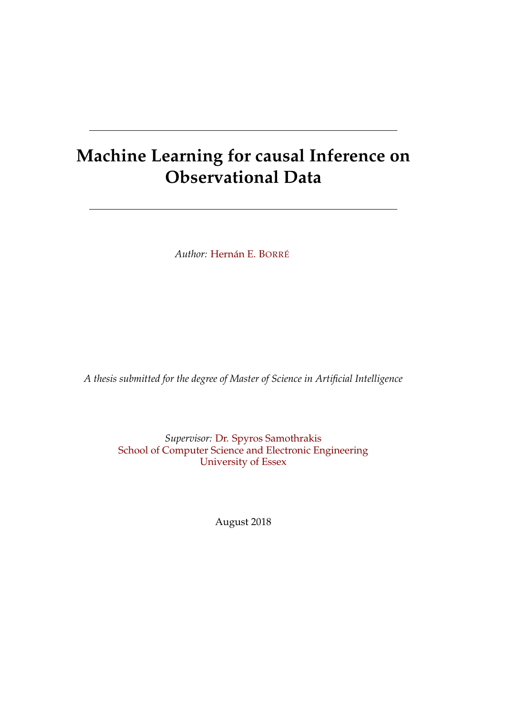# **Machine Learning for causal Inference on Observational Data**

*Author:* [Hernán E. B](https://www.linkedin.com/in/s/)ORRÉ

*A thesis submitted for the degree of Master of Science in Artificial Intelligence*

*Supervisor:* [Dr. Spyros Samothrakis](https://www.essex.ac.uk/people/samot88004/spyros-samothrakis) [School of Computer Science and Electronic Engineering](https://www.essex.ac.uk/departments/computer-science-and-electronic-engineering) [University of Essex](https://www.essex.ac.uk/)

August 2018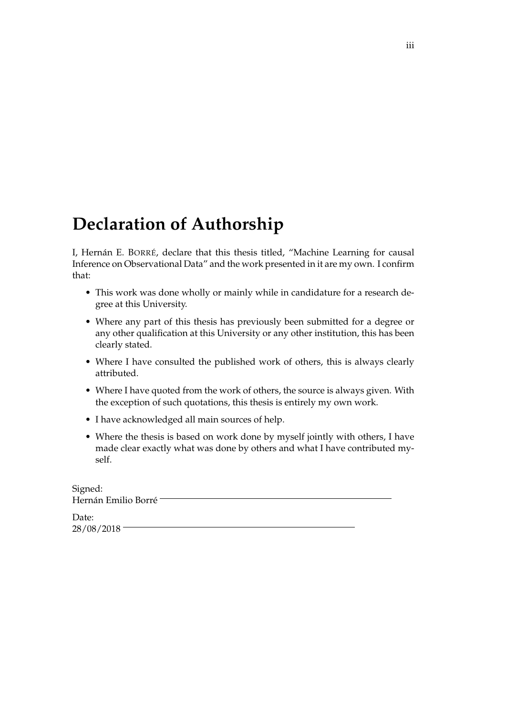# <span id="page-2-0"></span>**Declaration of Authorship**

I, Hernán E. BORRÉ, declare that this thesis titled, "Machine Learning for causal Inference on Observational Data" and the work presented in it are my own. I confirm that:

- This work was done wholly or mainly while in candidature for a research degree at this University.
- Where any part of this thesis has previously been submitted for a degree or any other qualification at this University or any other institution, this has been clearly stated.
- Where I have consulted the published work of others, this is always clearly attributed.
- Where I have quoted from the work of others, the source is always given. With the exception of such quotations, this thesis is entirely my own work.
- I have acknowledged all main sources of help.
- Where the thesis is based on work done by myself jointly with others, I have made clear exactly what was done by others and what I have contributed myself.

| Signed:             |  |
|---------------------|--|
| Hernán Emilio Borré |  |

Date: 28/08/2018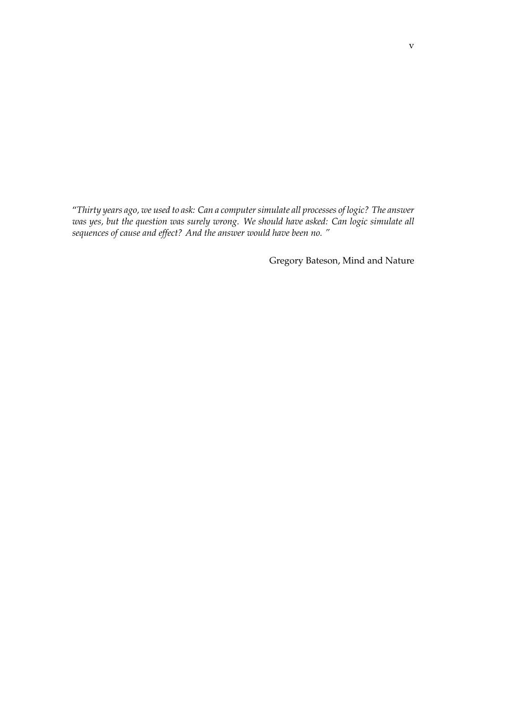"*Thirty years ago, we used to ask: Can a computer simulate all processes of logic? The answer was yes, but the question was surely wrong. We should have asked: Can logic simulate all sequences of cause and effect? And the answer would have been no. "*

Gregory Bateson, Mind and Nature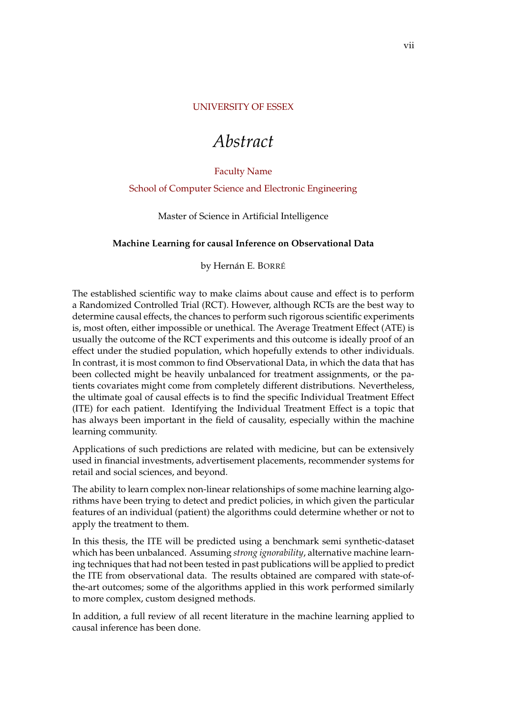#### <span id="page-6-0"></span>[UNIVERSITY OF ESSEX](HTTPS://WWW.ESSEX.AC.UK/)

# *Abstract*

#### [Faculty Name](http://faculty.university.com)

#### [School of Computer Science and Electronic Engineering](https://www.essex.ac.uk/departments/computer-science-and-electronic-engineering)

Master of Science in Artificial Intelligence

#### **Machine Learning for causal Inference on Observational Data**

by Hernán E. BORRÉ

The established scientific way to make claims about cause and effect is to perform a Randomized Controlled Trial (RCT). However, although RCTs are the best way to determine causal effects, the chances to perform such rigorous scientific experiments is, most often, either impossible or unethical. The Average Treatment Effect (ATE) is usually the outcome of the RCT experiments and this outcome is ideally proof of an effect under the studied population, which hopefully extends to other individuals. In contrast, it is most common to find Observational Data, in which the data that has been collected might be heavily unbalanced for treatment assignments, or the patients covariates might come from completely different distributions. Nevertheless, the ultimate goal of causal effects is to find the specific Individual Treatment Effect (ITE) for each patient. Identifying the Individual Treatment Effect is a topic that has always been important in the field of causality, especially within the machine learning community.

Applications of such predictions are related with medicine, but can be extensively used in financial investments, advertisement placements, recommender systems for retail and social sciences, and beyond.

The ability to learn complex non-linear relationships of some machine learning algorithms have been trying to detect and predict policies, in which given the particular features of an individual (patient) the algorithms could determine whether or not to apply the treatment to them.

In this thesis, the ITE will be predicted using a benchmark semi synthetic-dataset which has been unbalanced. Assuming *strong ignorability*, alternative machine learning techniques that had not been tested in past publications will be applied to predict the ITE from observational data. The results obtained are compared with state-ofthe-art outcomes; some of the algorithms applied in this work performed similarly to more complex, custom designed methods.

In addition, a full review of all recent literature in the machine learning applied to causal inference has been done.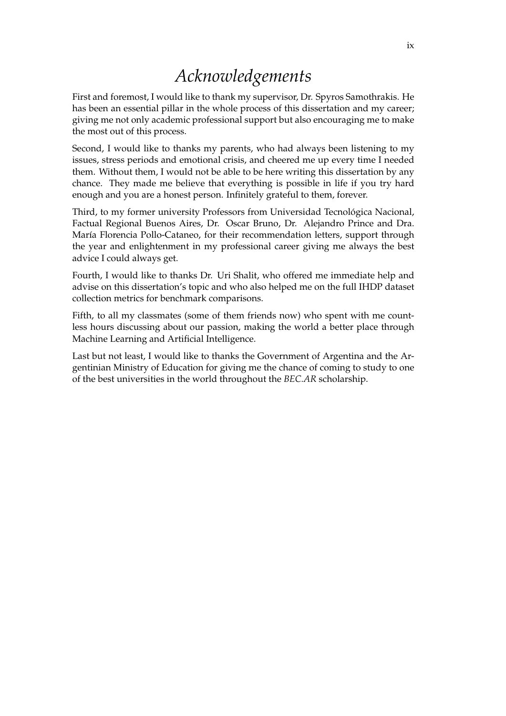# *Acknowledgements*

<span id="page-8-0"></span>First and foremost, I would like to thank my supervisor, Dr. Spyros Samothrakis. He has been an essential pillar in the whole process of this dissertation and my career; giving me not only academic professional support but also encouraging me to make the most out of this process.

Second, I would like to thanks my parents, who had always been listening to my issues, stress periods and emotional crisis, and cheered me up every time I needed them. Without them, I would not be able to be here writing this dissertation by any chance. They made me believe that everything is possible in life if you try hard enough and you are a honest person. Infinitely grateful to them, forever.

Third, to my former university Professors from Universidad Tecnológica Nacional, Factual Regional Buenos Aires, Dr. Oscar Bruno, Dr. Alejandro Prince and Dra. María Florencia Pollo-Cataneo, for their recommendation letters, support through the year and enlightenment in my professional career giving me always the best advice I could always get.

Fourth, I would like to thanks Dr. Uri Shalit, who offered me immediate help and advise on this dissertation's topic and who also helped me on the full IHDP dataset collection metrics for benchmark comparisons.

Fifth, to all my classmates (some of them friends now) who spent with me countless hours discussing about our passion, making the world a better place through Machine Learning and Artificial Intelligence.

Last but not least, I would like to thanks the Government of Argentina and the Argentinian Ministry of Education for giving me the chance of coming to study to one of the best universities in the world throughout the *BEC.AR* scholarship.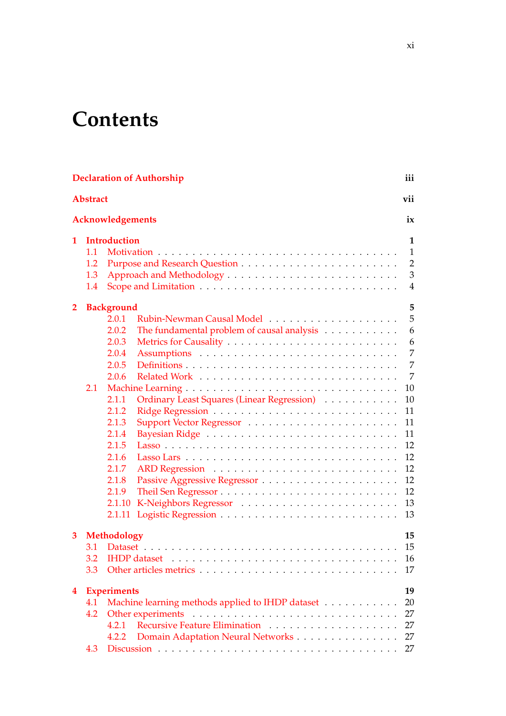# **Contents**

|                         |                          | <b>Declaration of Authorship</b>                                                                                                                                                                                                                               | iii                                                                                               |
|-------------------------|--------------------------|----------------------------------------------------------------------------------------------------------------------------------------------------------------------------------------------------------------------------------------------------------------|---------------------------------------------------------------------------------------------------|
|                         | <b>Abstract</b>          |                                                                                                                                                                                                                                                                | vii                                                                                               |
|                         |                          | Acknowledgements                                                                                                                                                                                                                                               | ix                                                                                                |
| 1                       | 1.1<br>1.2<br>1.3<br>1.4 | <b>Introduction</b>                                                                                                                                                                                                                                            | 1<br>1<br>$\overline{2}$<br>3<br>4                                                                |
| $\mathbf{2}$            | 2.1                      | <b>Background</b><br>2.0.1<br>2.0.2<br>The fundamental problem of causal analysis<br>2.0.3<br>2.0.4<br>2.0.5<br>2.0.6<br>2.1.1<br>Ordinary Least Squares (Linear Regression)<br>2.1.2<br>2.1.3<br>2.1.4<br>2.1.5<br>2.1.6<br>2.1.7<br>2.1.8<br>2.1.9<br>2.1.10 | 5<br>5<br>6<br>6<br>7<br>7<br>7<br>10<br>10<br>11<br>11<br>11<br>12<br>12<br>12<br>12<br>12<br>13 |
| 3                       | 3.1<br>3.2<br>3.3        | 2.1.11<br>Methodology                                                                                                                                                                                                                                          | 13<br>15<br>15<br>16<br>17                                                                        |
| $\overline{\mathbf{4}}$ | 4.1<br>4.2<br>4.3        | <b>Experiments</b><br>Machine learning methods applied to IHDP dataset<br>4.2.1<br>Domain Adaptation Neural Networks<br>4.2.2                                                                                                                                  | 19<br>20<br>27<br>27<br>27<br>27                                                                  |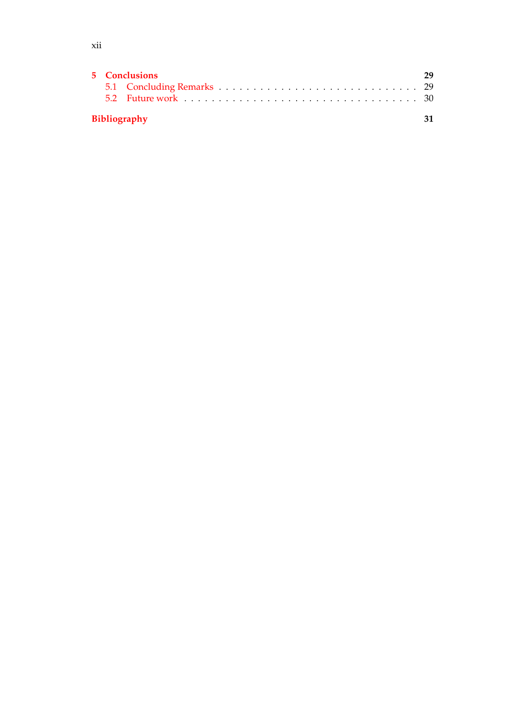|  | 5 Conclusions       |  |
|--|---------------------|--|
|  |                     |  |
|  | <b>Bibliography</b> |  |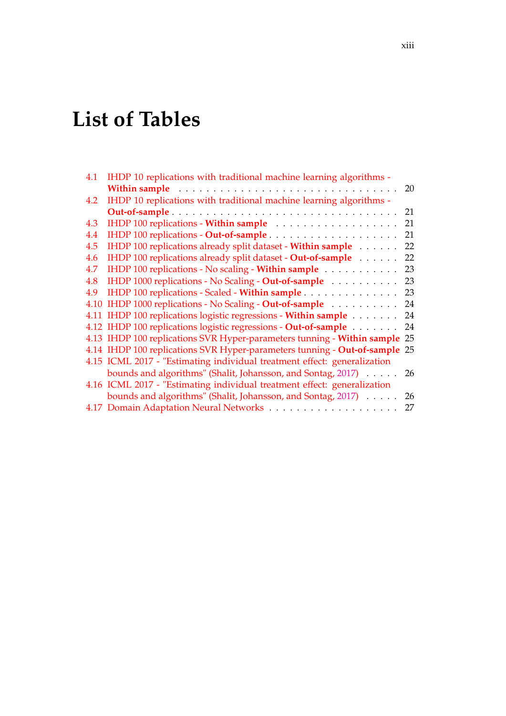# **List of Tables**

| 4.1 | IHDP 10 replications with traditional machine learning algorithms -                                                                                                                                                                  |    |
|-----|--------------------------------------------------------------------------------------------------------------------------------------------------------------------------------------------------------------------------------------|----|
|     | Within sample <i>and a subset of the subset of the subset of the subset of the subset of the subset of the subset of the subset of the subset of the subset of the subset of the subset of the subset of the subset of the subse</i> | 20 |
| 4.2 | IHDP 10 replications with traditional machine learning algorithms -                                                                                                                                                                  |    |
|     |                                                                                                                                                                                                                                      | 21 |
| 4.3 | IHDP 100 replications - Within sample                                                                                                                                                                                                | 21 |
| 4.4 |                                                                                                                                                                                                                                      | 21 |
| 4.5 | IHDP 100 replications already split dataset - Within sample                                                                                                                                                                          | 22 |
| 4.6 | IHDP 100 replications already split dataset - Out-of-sample                                                                                                                                                                          | 22 |
| 4.7 | IHDP 100 replications - No scaling - Within sample                                                                                                                                                                                   | 23 |
| 4.8 | IHDP 1000 replications - No Scaling - Out-of-sample                                                                                                                                                                                  | 23 |
| 4.9 | IHDP 100 replications - Scaled - Within sample                                                                                                                                                                                       | 23 |
|     | 4.10 IHDP 1000 replications - No Scaling - Out-of-sample 24                                                                                                                                                                          |    |
|     | 4.11 IHDP 100 replications logistic regressions - Within sample 24                                                                                                                                                                   |    |
|     | 4.12 IHDP 100 replications logistic regressions - Out-of-sample 24                                                                                                                                                                   |    |
|     | 4.13 IHDP 100 replications SVR Hyper-parameters tunning - Within sample 25                                                                                                                                                           |    |
|     | 4.14 IHDP 100 replications SVR Hyper-parameters tunning - Out-of-sample 25                                                                                                                                                           |    |
|     | 4.15 ICML 2017 - "Estimating individual treatment effect: generalization                                                                                                                                                             |    |
|     | bounds and algorithms" (Shalit, Johansson, and Sontag, 2017) 26                                                                                                                                                                      |    |
|     | 4.16 ICML 2017 - "Estimating individual treatment effect: generalization                                                                                                                                                             |    |
|     | bounds and algorithms" (Shalit, Johansson, and Sontag, 2017)                                                                                                                                                                         | 26 |
|     |                                                                                                                                                                                                                                      | 27 |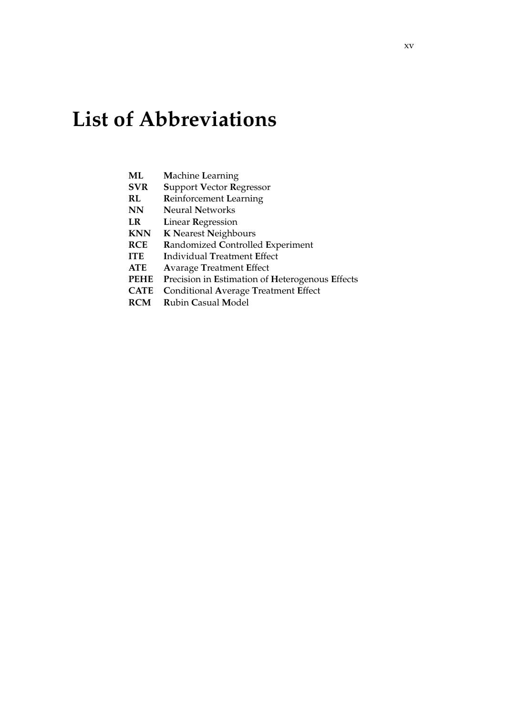# **List of Abbreviations**

- $ML$ **Machine Learning**
- **SVR Support Vector Regressor**
- $RL$ **Reinforcement Learning**
- **Neural Networks**  $NN$
- **LR Linear Regression**
- K Nearest Neighbours **KNN**
- **RCE** Randomized Controlled Experiment
- **ITE Individual Treatment Effect**
- **ATE Avarage Treatment Effect**
- PEHE Precision in Estimation of Heterogenous Effects
- **CATE** Conditional Average Treatment Effect
- **RCM** Rubin Casual Model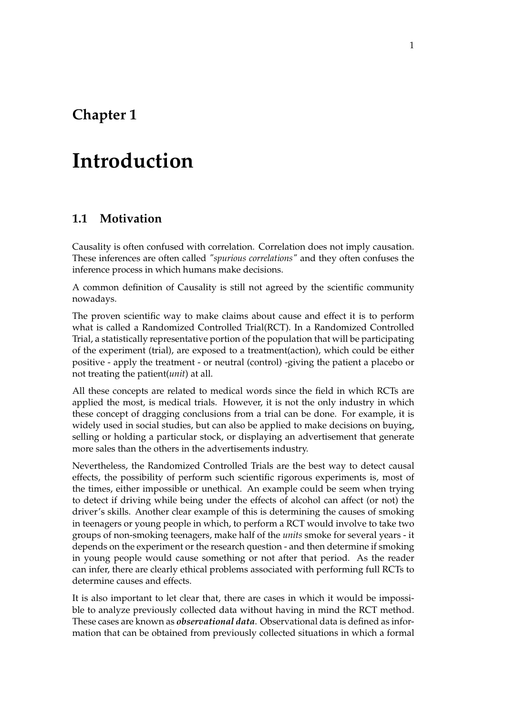# <span id="page-16-0"></span>**Chapter 1**

# **Introduction**

## <span id="page-16-1"></span>**1.1 Motivation**

Causality is often confused with correlation. Correlation does not imply causation. These inferences are often called *"spurious correlations"* and they often confuses the inference process in which humans make decisions.

A common definition of Causality is still not agreed by the scientific community nowadays.

The proven scientific way to make claims about cause and effect it is to perform what is called a Randomized Controlled Trial(RCT). In a Randomized Controlled Trial, a statistically representative portion of the population that will be participating of the experiment (trial), are exposed to a treatment(action), which could be either positive - apply the treatment - or neutral (control) -giving the patient a placebo or not treating the patient(*unit*) at all.

All these concepts are related to medical words since the field in which RCTs are applied the most, is medical trials. However, it is not the only industry in which these concept of dragging conclusions from a trial can be done. For example, it is widely used in social studies, but can also be applied to make decisions on buying, selling or holding a particular stock, or displaying an advertisement that generate more sales than the others in the advertisements industry.

Nevertheless, the Randomized Controlled Trials are the best way to detect causal effects, the possibility of perform such scientific rigorous experiments is, most of the times, either impossible or unethical. An example could be seem when trying to detect if driving while being under the effects of alcohol can affect (or not) the driver's skills. Another clear example of this is determining the causes of smoking in teenagers or young people in which, to perform a RCT would involve to take two groups of non-smoking teenagers, make half of the *units* smoke for several years - it depends on the experiment or the research question - and then determine if smoking in young people would cause something or not after that period. As the reader can infer, there are clearly ethical problems associated with performing full RCTs to determine causes and effects.

It is also important to let clear that, there are cases in which it would be impossible to analyze previously collected data without having in mind the RCT method. These cases are known as *observational data*. Observational data is defined as information that can be obtained from previously collected situations in which a formal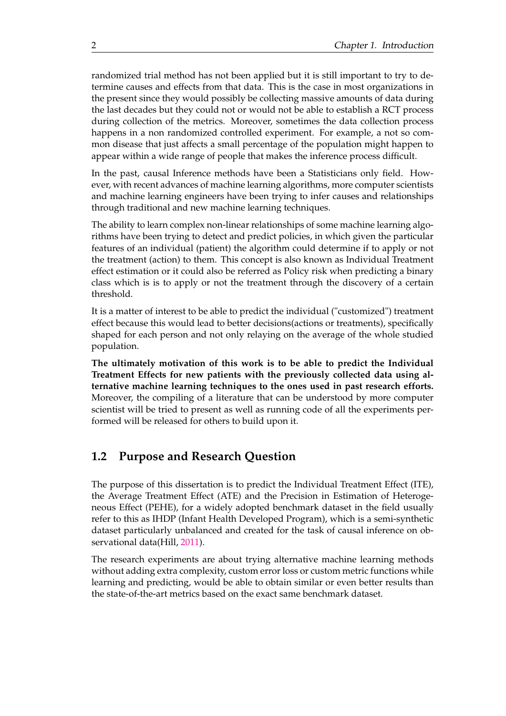randomized trial method has not been applied but it is still important to try to determine causes and effects from that data. This is the case in most organizations in the present since they would possibly be collecting massive amounts of data during the last decades but they could not or would not be able to establish a RCT process during collection of the metrics. Moreover, sometimes the data collection process happens in a non randomized controlled experiment. For example, a not so common disease that just affects a small percentage of the population might happen to appear within a wide range of people that makes the inference process difficult.

In the past, causal Inference methods have been a Statisticians only field. However, with recent advances of machine learning algorithms, more computer scientists and machine learning engineers have been trying to infer causes and relationships through traditional and new machine learning techniques.

The ability to learn complex non-linear relationships of some machine learning algorithms have been trying to detect and predict policies, in which given the particular features of an individual (patient) the algorithm could determine if to apply or not the treatment (action) to them. This concept is also known as Individual Treatment effect estimation or it could also be referred as Policy risk when predicting a binary class which is is to apply or not the treatment through the discovery of a certain threshold.

It is a matter of interest to be able to predict the individual ("customized") treatment effect because this would lead to better decisions(actions or treatments), specifically shaped for each person and not only relaying on the average of the whole studied population.

**The ultimately motivation of this work is to be able to predict the Individual Treatment Effects for new patients with the previously collected data using alternative machine learning techniques to the ones used in past research efforts.** Moreover, the compiling of a literature that can be understood by more computer scientist will be tried to present as well as running code of all the experiments performed will be released for others to build upon it.

### <span id="page-17-0"></span>**1.2 Purpose and Research Question**

The purpose of this dissertation is to predict the Individual Treatment Effect (ITE), the Average Treatment Effect (ATE) and the Precision in Estimation of Heterogeneous Effect (PEHE), for a widely adopted benchmark dataset in the field usually refer to this as IHDP (Infant Health Developed Program), which is a semi-synthetic dataset particularly unbalanced and created for the task of causal inference on observational data(Hill, [2011\)](#page-47-0).

The research experiments are about trying alternative machine learning methods without adding extra complexity, custom error loss or custom metric functions while learning and predicting, would be able to obtain similar or even better results than the state-of-the-art metrics based on the exact same benchmark dataset.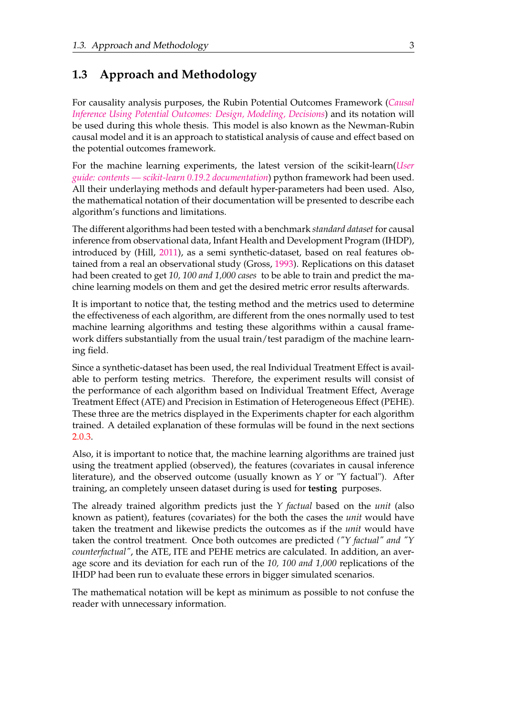## <span id="page-18-0"></span>**1.3 Approach and Methodology**

For causality analysis purposes, the Rubin Potential Outcomes Framework (*[Causal](#page-49-1) [Inference Using Potential Outcomes: Design, Modeling, Decisions](#page-49-1)*) and its notation will be used during this whole thesis. This model is also known as the Newman-Rubin causal model and it is an approach to statistical analysis of cause and effect based on the potential outcomes framework.

For the machine learning experiments, the latest version of the scikit-learn(*[User](#page-49-2) [guide: contents — scikit-learn 0.19.2 documentation](#page-49-2)*) python framework had been used. All their underlaying methods and default hyper-parameters had been used. Also, the mathematical notation of their documentation will be presented to describe each algorithm's functions and limitations.

The different algorithms had been tested with a benchmark *standard dataset* for causal inference from observational data, Infant Health and Development Program (IHDP), introduced by (Hill, [2011\)](#page-47-0), as a semi synthetic-dataset, based on real features obtained from a real an observational study (Gross, [1993\)](#page-47-1). Replications on this dataset had been created to get *10, 100 and 1,000 cases* to be able to train and predict the machine learning models on them and get the desired metric error results afterwards.

It is important to notice that, the testing method and the metrics used to determine the effectiveness of each algorithm, are different from the ones normally used to test machine learning algorithms and testing these algorithms within a causal framework differs substantially from the usual train/test paradigm of the machine learning field.

Since a synthetic-dataset has been used, the real Individual Treatment Effect is available to perform testing metrics. Therefore, the experiment results will consist of the performance of each algorithm based on Individual Treatment Effect, Average Treatment Effect (ATE) and Precision in Estimation of Heterogeneous Effect (PEHE). These three are the metrics displayed in the Experiments chapter for each algorithm trained. A detailed explanation of these formulas will be found in the next sections [2.0.3.](#page-21-1)

Also, it is important to notice that, the machine learning algorithms are trained just using the treatment applied (observed), the features (covariates in causal inference literature), and the observed outcome (usually known as *Y* or "Y factual"). After training, an completely unseen dataset during is used for **testing** purposes.

The already trained algorithm predicts just the *Y factual* based on the *unit* (also known as patient), features (covariates) for the both the cases the *unit* would have taken the treatment and likewise predicts the outcomes as if the *unit* would have taken the control treatment. Once both outcomes are predicted *("Y factual" and "Y counterfactual"*, the ATE, ITE and PEHE metrics are calculated. In addition, an average score and its deviation for each run of the *10, 100 and 1,000* replications of the IHDP had been run to evaluate these errors in bigger simulated scenarios.

The mathematical notation will be kept as minimum as possible to not confuse the reader with unnecessary information.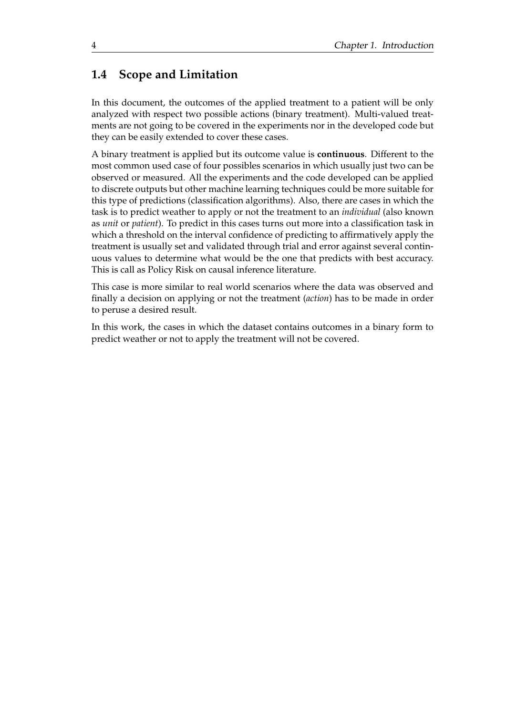## <span id="page-19-0"></span>**1.4 Scope and Limitation**

In this document, the outcomes of the applied treatment to a patient will be only analyzed with respect two possible actions (binary treatment). Multi-valued treatments are not going to be covered in the experiments nor in the developed code but they can be easily extended to cover these cases.

A binary treatment is applied but its outcome value is **continuous**. Different to the most common used case of four possibles scenarios in which usually just two can be observed or measured. All the experiments and the code developed can be applied to discrete outputs but other machine learning techniques could be more suitable for this type of predictions (classification algorithms). Also, there are cases in which the task is to predict weather to apply or not the treatment to an *individual* (also known as *unit* or *patient*). To predict in this cases turns out more into a classification task in which a threshold on the interval confidence of predicting to affirmatively apply the treatment is usually set and validated through trial and error against several continuous values to determine what would be the one that predicts with best accuracy. This is call as Policy Risk on causal inference literature.

This case is more similar to real world scenarios where the data was observed and finally a decision on applying or not the treatment (*action*) has to be made in order to peruse a desired result.

In this work, the cases in which the dataset contains outcomes in a binary form to predict weather or not to apply the treatment will not be covered.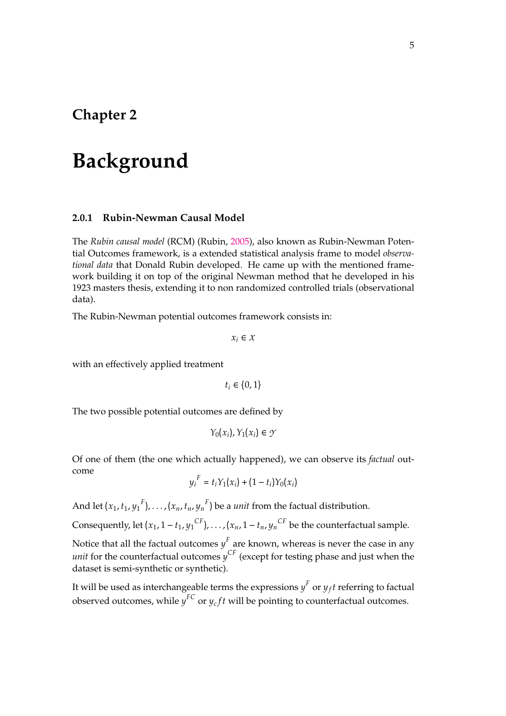## <span id="page-20-0"></span>**Chapter 2**

# **Background**

#### <span id="page-20-1"></span>**2.0.1 Rubin-Newman Causal Model**

The *Rubin causal model* (RCM) (Rubin, [2005\)](#page-49-3), also known as Rubin-Newman Potential Outcomes framework, is a extended statistical analysis frame to model *observational data* that Donald Rubin developed. He came up with the mentioned framework building it on top of the original Newman method that he developed in his 1923 masters thesis, extending it to non randomized controlled trials (observational data).

The Rubin-Newman potential outcomes framework consists in:

 $x_i \in X$ 

with an effectively applied treatment

 $t_i \in \{0, 1\}$ 

The two possible potential outcomes are defined by

$$
Y_0(x_i), Y_1(x_i) \in \mathcal{Y}
$$

Of one of them (the one which actually happened), we can observe its *factual* outcome

$$
y_i^F = t_i Y_1(x_i) + (1 - t_i) Y_0(x_i)
$$

And let  $(x_1, t_1, y_1^F)$ , . . . ,  $(x_n, t_n, y_n^F)$  be a *unit* from the factual distribution.

Consequently, let  $(x_1, 1 - t_1, y_1^{CF})$ , . . . ,  $(x_n, 1 - t_n, y_n^{CF})$  be the counterfactual sample.

Notice that all the factual outcomes  $y^F$  are known, whereas is never the case in any *unit* for the counterfactual outcomes *y CF* (except for testing phase and just when the dataset is semi-synthetic or synthetic).

It will be used as interchangeable terms the expressions  $y^F$  or  $y_f t$  referring to factual observed outcomes, while  $y^{FC}$  or  $y_cft$  will be pointing to counterfactual outcomes.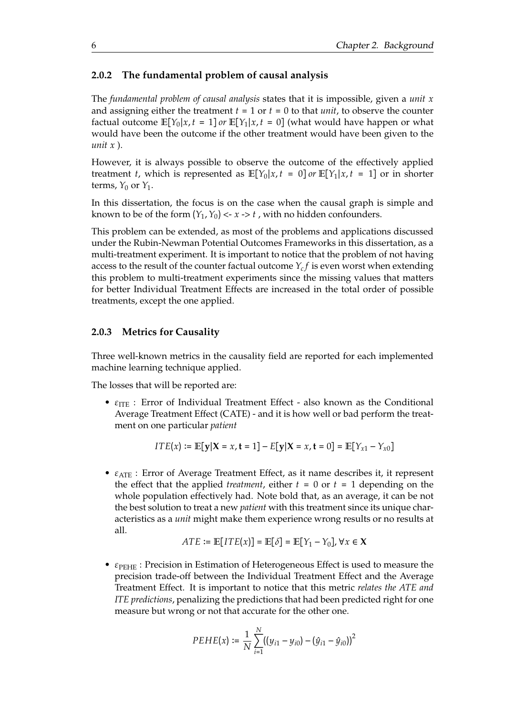#### <span id="page-21-0"></span>**2.0.2 The fundamental problem of causal analysis**

The *fundamental problem of causal analysis* states that it is impossible, given a *unit x* and assigning either the treatment  $t = 1$  or  $t = 0$  to that *unit*, to observe the counter factual outcome  $\mathbb{E}[Y_0|x, t = 1]$  *or*  $\mathbb{E}[Y_1|x, t = 0]$  (what would have happen or what would have been the outcome if the other treatment would have been given to the *unit x* ).

However, it is always possible to observe the outcome of the effectively applied treatment *t*, which is represented as  $\mathbb{E}[Y_0|x,t=0]$  or  $\mathbb{E}[Y_1|x,t=1]$  or in shorter terms,  $Y_0$  or  $Y_1$ .

In this dissertation, the focus is on the case when the causal graph is simple and known to be of the form  $(Y_1, Y_0) \leq x \leq t$ , with no hidden confounders.

This problem can be extended, as most of the problems and applications discussed under the Rubin-Newman Potential Outcomes Frameworks in this dissertation, as a multi-treatment experiment. It is important to notice that the problem of not having access to the result of the counter factual outcome *Y<sup>c</sup> f* is even worst when extending this problem to multi-treatment experiments since the missing values that matters for better Individual Treatment Effects are increased in the total order of possible treatments, except the one applied.

#### <span id="page-21-1"></span>**2.0.3 Metrics for Causality**

Three well-known metrics in the causality field are reported for each implemented machine learning technique applied.

The losses that will be reported are:

•  $\varepsilon_{\text{ITE}}$  : Error of Individual Treatment Effect - also known as the Conditional Average Treatment Effect (CATE) - and it is how well or bad perform the treatment on one particular *patient*

$$
ITE(x) := \mathbb{E}[y|X = x, t = 1] - E[y|X = x, t = 0] = \mathbb{E}[Y_{x1} - Y_{x0}]
$$

 $\bullet$   $\varepsilon_{\text{ATE}}$  : Error of Average Treatment Effect, as it name describes it, it represent the effect that the applied *treatment*, either  $t = 0$  or  $t = 1$  depending on the whole population effectively had. Note bold that, as an average, it can be not the best solution to treat a new *patient* with this treatment since its unique characteristics as a *unit* might make them experience wrong results or no results at all.

$$
ATE:=\mathbb{E}\big[ITE(x)\big]=\mathbb{E}\big[\delta\big]=\mathbb{E}\big[Y_1-Y_0\big], \forall x\in\mathbf{X}
$$

• *ε*<sub>PEHE</sub> : Precision in Estimation of Heterogeneous Effect is used to measure the precision trade-off between the Individual Treatment Effect and the Average Treatment Effect. It is important to notice that this metric *relates the ATE and ITE predictions*, penalizing the predictions that had been predicted right for one measure but wrong or not that accurate for the other one.

$$
PEHE(x) := \frac{1}{N} \sum_{i=1}^{N} ((y_{i1} - y_{i0}) - (\hat{y}_{i1} - \hat{y}_{i0}))^{2}
$$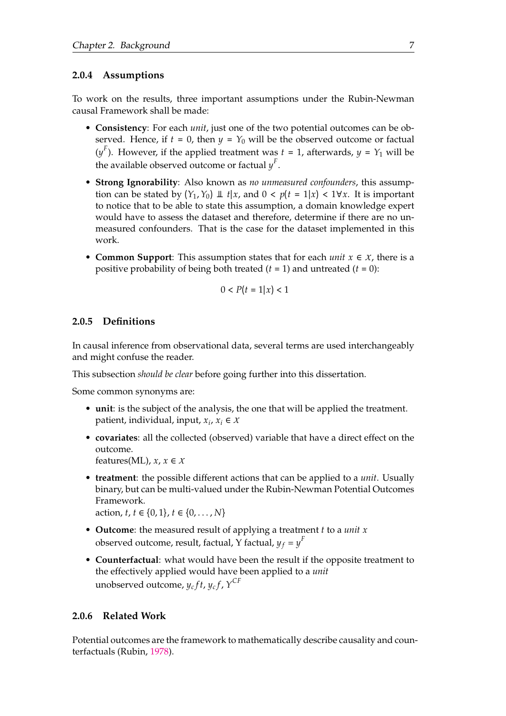#### <span id="page-22-0"></span>**2.0.4 Assumptions**

To work on the results, three important assumptions under the Rubin-Newman causal Framework shall be made:

- **Consistency**: For each *unit*, just one of the two potential outcomes can be observed. Hence, if  $t = 0$ , then  $y = Y_0$  will be the observed outcome or factual  $(y<sup>F</sup>)$ . However, if the applied treatment was  $t = 1$ , afterwards,  $y = Y<sub>1</sub>$  will be the available observed outcome or factual  $y^F$ .
- **Strong Ignorability**: Also known as *no unmeasured confounders*, this assumption can be stated by  $(Y_1, Y_0) \perp \perp t | x$ , and  $0 \lt p(t = 1 | x) \lt 1 \forall x$ . It is important to notice that to be able to state this assumption, a domain knowledge expert would have to assess the dataset and therefore, determine if there are no unmeasured confounders. That is the case for the dataset implemented in this work.
- **Common Support**: This assumption states that for each *unit x* ∈ *X*, there is a positive probability of being both treated (*t* = 1) and untreated (*t* = 0):

$$
0 < P(t = 1 | x) < 1
$$

#### <span id="page-22-1"></span>**2.0.5 Definitions**

In causal inference from observational data, several terms are used interchangeably and might confuse the reader.

This subsection *should be clear* before going further into this dissertation.

Some common synonyms are:

- **unit**: is the subject of the analysis, the one that will be applied the treatment. patient, individual, input,  $x_i$ ,  $x_i \in X$
- **covariates**: all the collected (observed) variable that have a direct effect on the outcome.

features(ML),  $x, x \in X$ 

• **treatment**: the possible different actions that can be applied to a *unit*. Usually binary, but can be multi-valued under the Rubin-Newman Potential Outcomes Framework.

action, *t*, *t* ∈ {0, 1}, *t* ∈ {0, . . . , *N*}

- **Outcome**: the measured result of applying a treatment *t* to a *unit x* observed outcome, result, factual, Y factual,  $y_f = y^F$
- **Counterfactual**: what would have been the result if the opposite treatment to the effectively applied would have been applied to a *unit* unobserved outcome,  $y_cf_t, y_cf$ ,  $Y^{CF}$

#### <span id="page-22-2"></span>**2.0.6 Related Work**

Potential outcomes are the framework to mathematically describe causality and counterfactuals (Rubin, [1978\)](#page-49-4).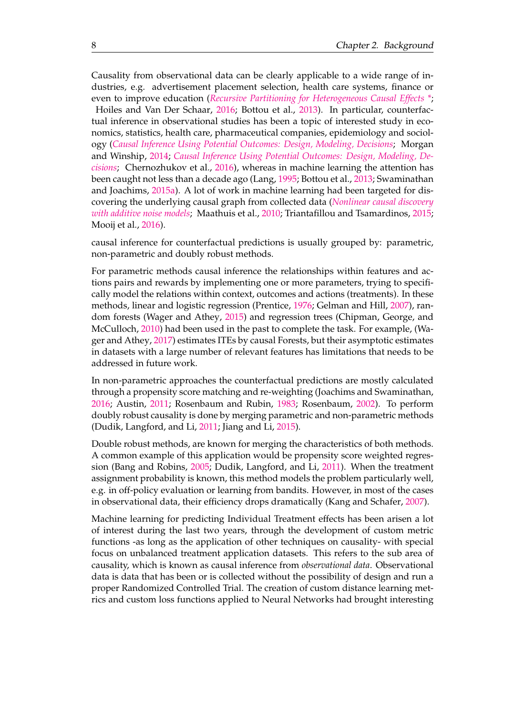Causality from observational data can be clearly applicable to a wide range of industries, e.g. advertisement placement selection, health care systems, finance or even to improve education (*[Recursive Partitioning for Heterogeneous Causal Effects \\*](#page-46-1)*;

Hoiles and Van Der Schaar, [2016;](#page-47-2) Bottou et al., [2013\)](#page-46-2). In particular, counterfactual inference in observational studies has been a topic of interested study in economics, statistics, health care, pharmaceutical companies, epidemiology and sociology (*[Causal Inference Using Potential Outcomes: Design, Modeling, Decisions](#page-49-1)*; Morgan and Winship, [2014;](#page-48-0) *[Causal Inference Using Potential Outcomes: Design, Modeling, De](#page-49-1)[cisions](#page-49-1)*; Chernozhukov et al., [2016\)](#page-47-3), whereas in machine learning the attention has been caught not less than a decade ago (Lang, [1995;](#page-48-1) Bottou et al., [2013;](#page-46-2) Swaminathan and Joachims, [2015a\)](#page-49-5). A lot of work in machine learning had been targeted for discovering the underlying causal graph from collected data (*[Nonlinear causal discovery](#page-47-4) [with additive noise models](#page-47-4)*; Maathuis et al., [2010;](#page-48-2) Triantafillou and Tsamardinos, [2015;](#page-49-6) Mooij et al., [2016\)](#page-48-3).

causal inference for counterfactual predictions is usually grouped by: parametric, non-parametric and doubly robust methods.

For parametric methods causal inference the relationships within features and actions pairs and rewards by implementing one or more parameters, trying to specifically model the relations within context, outcomes and actions (treatments). In these methods, linear and logistic regression (Prentice, [1976;](#page-48-4) Gelman and Hill, [2007\)](#page-47-5), random forests (Wager and Athey, [2015\)](#page-49-7) and regression trees (Chipman, George, and McCulloch, [2010\)](#page-47-6) had been used in the past to complete the task. For example, (Wager and Athey, [2017\)](#page-49-8) estimates ITEs by causal Forests, but their asymptotic estimates in datasets with a large number of relevant features has limitations that needs to be addressed in future work.

In non-parametric approaches the counterfactual predictions are mostly calculated through a propensity score matching and re-weighting (Joachims and Swaminathan, [2016;](#page-47-7) Austin, [2011;](#page-46-3) Rosenbaum and Rubin, [1983;](#page-49-9) Rosenbaum, [2002\)](#page-48-5). To perform doubly robust causality is done by merging parametric and non-parametric methods (Dudik, Langford, and Li, [2011;](#page-47-8) Jiang and Li, [2015\)](#page-47-9).

Double robust methods, are known for merging the characteristics of both methods. A common example of this application would be propensity score weighted regression (Bang and Robins, [2005;](#page-46-4) Dudik, Langford, and Li, [2011\)](#page-47-8). When the treatment assignment probability is known, this method models the problem particularly well, e.g. in off-policy evaluation or learning from bandits. However, in most of the cases in observational data, their efficiency drops dramatically (Kang and Schafer, [2007\)](#page-48-6).

Machine learning for predicting Individual Treatment effects has been arisen a lot of interest during the last two years, through the development of custom metric functions -as long as the application of other techniques on causality- with special focus on unbalanced treatment application datasets. This refers to the sub area of causality, which is known as causal inference from *observational data*. Observational data is data that has been or is collected without the possibility of design and run a proper Randomized Controlled Trial. The creation of custom distance learning metrics and custom loss functions applied to Neural Networks had brought interesting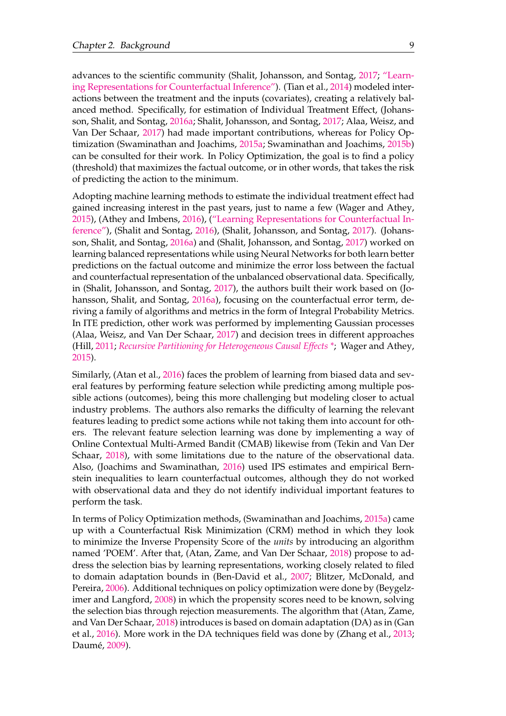advances to the scientific community (Shalit, Johansson, and Sontag, [2017;](#page-49-0) ["Learn](#page-48-7)[ing Representations for Counterfactual Inference"\)](#page-48-7). (Tian et al., [2014\)](#page-49-10) modeled interactions between the treatment and the inputs (covariates), creating a relatively balanced method. Specifically, for estimation of Individual Treatment Effect, (Johansson, Shalit, and Sontag, [2016a;](#page-48-8) Shalit, Johansson, and Sontag, [2017;](#page-49-0) Alaa, Weisz, and Van Der Schaar, [2017\)](#page-46-5) had made important contributions, whereas for Policy Optimization (Swaminathan and Joachims, [2015a;](#page-49-5) Swaminathan and Joachims, [2015b\)](#page-49-11) can be consulted for their work. In Policy Optimization, the goal is to find a policy (threshold) that maximizes the factual outcome, or in other words, that takes the risk of predicting the action to the minimum.

Adopting machine learning methods to estimate the individual treatment effect had gained increasing interest in the past years, just to name a few (Wager and Athey, [2015\)](#page-49-7), (Athey and Imbens, [2016\)](#page-46-6), [\("Learning Representations for Counterfactual In](#page-48-7)[ference"\)](#page-48-7), (Shalit and Sontag, [2016\)](#page-49-12), (Shalit, Johansson, and Sontag, [2017\)](#page-49-0). (Johansson, Shalit, and Sontag, [2016a\)](#page-48-8) and (Shalit, Johansson, and Sontag, [2017\)](#page-49-0) worked on learning balanced representations while using Neural Networks for both learn better predictions on the factual outcome and minimize the error loss between the factual and counterfactual representation of the unbalanced observational data. Specifically, in (Shalit, Johansson, and Sontag, [2017\)](#page-49-0), the authors built their work based on (Johansson, Shalit, and Sontag, [2016a\)](#page-48-8), focusing on the counterfactual error term, deriving a family of algorithms and metrics in the form of Integral Probability Metrics. In ITE prediction, other work was performed by implementing Gaussian processes (Alaa, Weisz, and Van Der Schaar, [2017\)](#page-46-5) and decision trees in different approaches (Hill, [2011;](#page-47-0) *[Recursive Partitioning for Heterogeneous Causal Effects \\*](#page-46-1)*; Wager and Athey, [2015\)](#page-49-7).

Similarly, (Atan et al., [2016\)](#page-46-7) faces the problem of learning from biased data and several features by performing feature selection while predicting among multiple possible actions (outcomes), being this more challenging but modeling closer to actual industry problems. The authors also remarks the difficulty of learning the relevant features leading to predict some actions while not taking them into account for others. The relevant feature selection learning was done by implementing a way of Online Contextual Multi-Armed Bandit (CMAB) likewise from (Tekin and Van Der Schaar, [2018\)](#page-49-13), with some limitations due to the nature of the observational data. Also, (Joachims and Swaminathan, [2016\)](#page-47-7) used IPS estimates and empirical Bernstein inequalities to learn counterfactual outcomes, although they do not worked with observational data and they do not identify individual important features to perform the task.

In terms of Policy Optimization methods, (Swaminathan and Joachims, [2015a\)](#page-49-5) came up with a Counterfactual Risk Minimization (CRM) method in which they look to minimize the Inverse Propensity Score of the *units* by introducing an algorithm named 'POEM'. After that, (Atan, Zame, and Van Der Schaar, [2018\)](#page-46-8) propose to address the selection bias by learning representations, working closely related to filed to domain adaptation bounds in (Ben-David et al., [2007;](#page-46-9) Blitzer, McDonald, and Pereira, [2006\)](#page-46-10). Additional techniques on policy optimization were done by (Beygelzimer and Langford, [2008\)](#page-46-11) in which the propensity scores need to be known, solving the selection bias through rejection measurements. The algorithm that (Atan, Zame, and Van Der Schaar, [2018\)](#page-46-8) introduces is based on domain adaptation (DA) as in (Gan et al., [2016\)](#page-47-10). More work in the DA techniques field was done by (Zhang et al., [2013;](#page-49-14) Daumé, [2009\)](#page-47-11).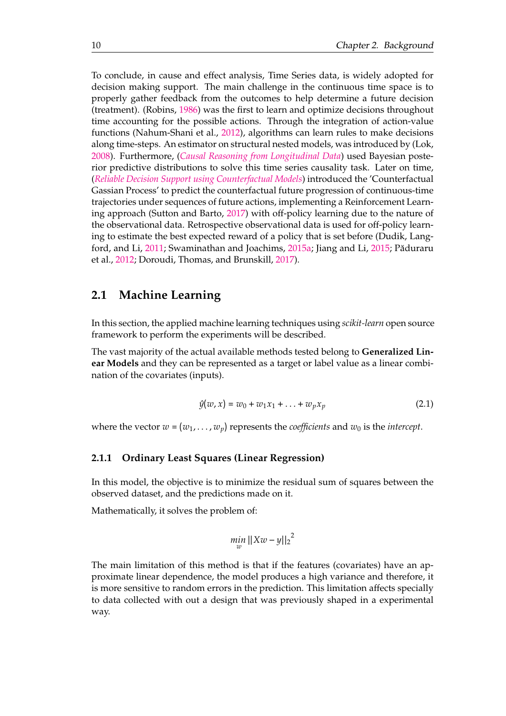To conclude, in cause and effect analysis, Time Series data, is widely adopted for decision making support. The main challenge in the continuous time space is to properly gather feedback from the outcomes to help determine a future decision (treatment). (Robins, [1986\)](#page-48-9) was the first to learn and optimize decisions throughout time accounting for the possible actions. Through the integration of action-value functions (Nahum-Shani et al., [2012\)](#page-48-10), algorithms can learn rules to make decisions along time-steps. An estimator on structural nested models, was introduced by (Lok, [2008\)](#page-48-11). Furthermore, (*[Causal Reasoning from Longitudinal Data](#page-46-12)*) used Bayesian posterior predictive distributions to solve this time series causality task. Later on time, (*[Reliable Decision Support using Counterfactual Models](#page-49-15)*) introduced the 'Counterfactual Gassian Process' to predict the counterfactual future progression of continuous-time trajectories under sequences of future actions, implementing a Reinforcement Learning approach (Sutton and Barto, [2017\)](#page-49-16) with off-policy learning due to the nature of the observational data. Retrospective observational data is used for off-policy learning to estimate the best expected reward of a policy that is set before (Dudik, Lang-ford, and Li, [2011;](#page-47-8) Swaminathan and Joachims, [2015a;](#page-49-5) Jiang and Li, [2015;](#page-47-9) Păduraru et al., [2012;](#page-48-12) Doroudi, Thomas, and Brunskill, [2017\)](#page-47-12).

### <span id="page-25-0"></span>**2.1 Machine Learning**

In this section, the applied machine learning techniques using *scikit-learn* open source framework to perform the experiments will be described.

The vast majority of the actual available methods tested belong to **Generalized Linear Models** and they can be represented as a target or label value as a linear combination of the covariates (inputs).

$$
\hat{y}(w, x) = w_0 + w_1 x_1 + \dots + w_p x_p \tag{2.1}
$$

where the vector  $w = (w_1, \ldots, w_p)$  represents the *coefficients* and  $w_0$  is the *intercept*.

#### <span id="page-25-1"></span>**2.1.1 Ordinary Least Squares (Linear Regression)**

In this model, the objective is to minimize the residual sum of squares between the observed dataset, and the predictions made on it.

Mathematically, it solves the problem of:

$$
\min_{w} ||Xw - y||_2^2
$$

The main limitation of this method is that if the features (covariates) have an approximate linear dependence, the model produces a high variance and therefore, it is more sensitive to random errors in the prediction. This limitation affects specially to data collected with out a design that was previously shaped in a experimental way.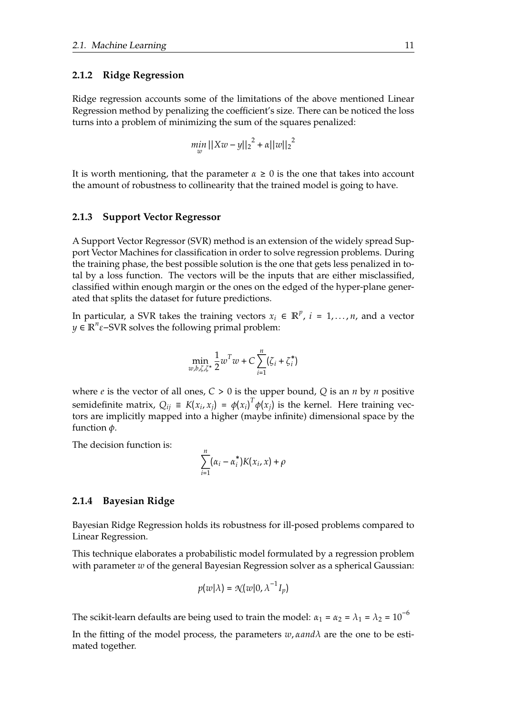#### <span id="page-26-0"></span>**2.1.2 Ridge Regression**

Ridge regression accounts some of the limitations of the above mentioned Linear Regression method by penalizing the coefficient's size. There can be noticed the loss turns into a problem of minimizing the sum of the squares penalized:

$$
\min_{w} ||Xw - y||_2^2 + \alpha ||w||_2^2
$$

It is worth mentioning, that the parameter  $\alpha \geq 0$  is the one that takes into account the amount of robustness to collinearity that the trained model is going to have.

#### <span id="page-26-1"></span>**2.1.3 Support Vector Regressor**

A Support Vector Regressor (SVR) method is an extension of the widely spread Support Vector Machines for classification in order to solve regression problems. During the training phase, the best possible solution is the one that gets less penalized in total by a loss function. The vectors will be the inputs that are either misclassified, classified within enough margin or the ones on the edged of the hyper-plane generated that splits the dataset for future predictions.

In particular, a SVR takes the training vectors  $x_i \in \mathbb{R}^p$ ,  $i = 1, ..., n$ , and a vector *y* ∈ **R**<sup>*n*</sup>ε−SVR solves the following primal problem:

$$
\min_{w,b,\zeta,\zeta^*} \frac{1}{2} w^T w + C \sum_{i=1}^n (\zeta_i + \zeta_i^*)
$$

where *e* is the vector of all ones, *C* > 0 is the upper bound, *Q* is an *n* by *n* positive semidefinite matrix,  $Q_{ij} = K(x_i, x_j) - \phi(x_i)^T \phi(x_j)$  is the kernel. Here training vectors are implicitly mapped into a higher (maybe infinite) dimensional space by the function *φ*.

The decision function is:

$$
\sum_{i=1}^n (\alpha_i - \alpha_i^*) K(x_i, x) + \rho
$$

#### <span id="page-26-2"></span>**2.1.4 Bayesian Ridge**

Bayesian Ridge Regression holds its robustness for ill-posed problems compared to Linear Regression.

This technique elaborates a probabilistic model formulated by a regression problem with parameter *w* of the general Bayesian Regression solver as a spherical Gaussian:

$$
p(w|\lambda) = \mathcal{N}(w|0, \lambda^{-1}I_p)
$$

The scikit-learn defaults are being used to train the model:  $\alpha_1 = \alpha_2 = \lambda_1 = \lambda_2 = 10^{-6}$ 

In the fitting of the model process, the parameters *w*, *αandλ* are the one to be estimated together.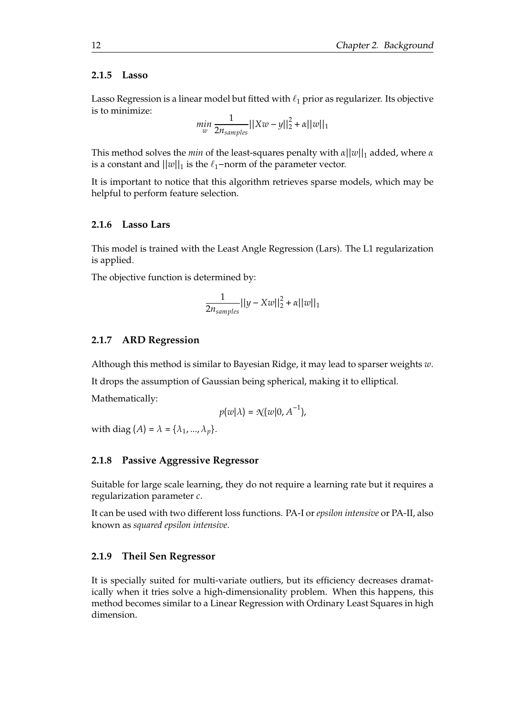#### <span id="page-27-0"></span>**2.1.5 Lasso**

Lasso Regression is a linear model but fitted with  $\ell_1$  prior as regularizer. Its objective is to minimize:

$$
\min_{w} \frac{1}{2n_{samples}} ||Xw - y||_2^2 + \alpha ||w||_1
$$

This method solves the *min* of the least-squares penalty with *α*||*w*||<sub>1</sub> added, where *α* is a constant and  $||w||_1$  is the  $\ell_1$ −norm of the parameter vector.

It is important to notice that this algorithm retrieves sparse models, which may be helpful to perform feature selection.

#### <span id="page-27-1"></span>**2.1.6 Lasso Lars**

This model is trained with the Least Angle Regression (Lars). The L1 regularization is applied.

The objective function is determined by:

$$
\frac{1}{2n_{samples}}||y - Xw||_2^2 + \alpha ||w||_1
$$

#### <span id="page-27-2"></span>**2.1.7 ARD Regression**

Although this method is similar to Bayesian Ridge, it may lead to sparser weights *w*. It drops the assumption of Gaussian being spherical, making it to elliptical. Mathematically:

$$
p(w|\lambda) = \mathcal{N}(w|0, A^{-1}),
$$

with diag  $(A) = \lambda = {\lambda_1, ..., \lambda_n}.$ 

#### <span id="page-27-3"></span>**2.1.8 Passive Aggressive Regressor**

Suitable for large scale learning, they do not require a learning rate but it requires a regularization parameter *c*.

It can be used with two different loss functions. PA-I or *epsilon intensive* or PA-II, also known as *squared epsilon intensive*.

#### <span id="page-27-4"></span>**2.1.9 Theil Sen Regressor**

It is specially suited for multi-variate outliers, but its efficiency decreases dramatically when it tries solve a high-dimensionality problem. When this happens, this method becomes similar to a Linear Regression with Ordinary Least Squares in high dimension.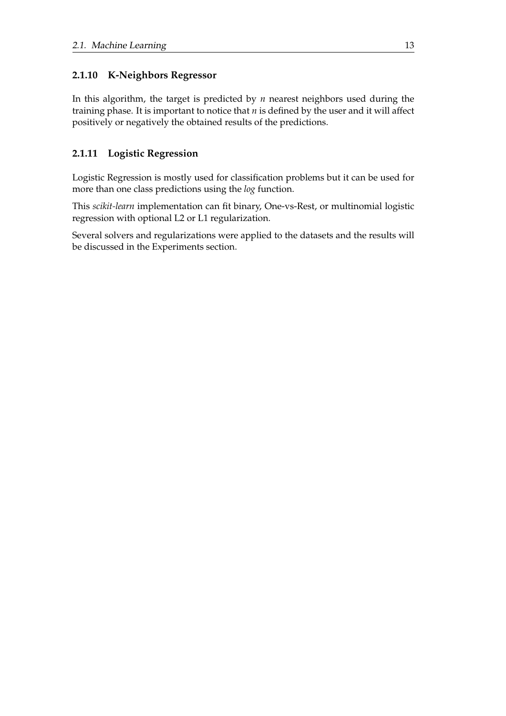### <span id="page-28-0"></span>**2.1.10 K-Neighbors Regressor**

In this algorithm, the target is predicted by *n* nearest neighbors used during the training phase. It is important to notice that *n* is defined by the user and it will affect positively or negatively the obtained results of the predictions.

### <span id="page-28-1"></span>**2.1.11 Logistic Regression**

Logistic Regression is mostly used for classification problems but it can be used for more than one class predictions using the *log* function.

This *scikit-learn* implementation can fit binary, One-vs-Rest, or multinomial logistic regression with optional L2 or L1 regularization.

Several solvers and regularizations were applied to the datasets and the results will be discussed in the Experiments section.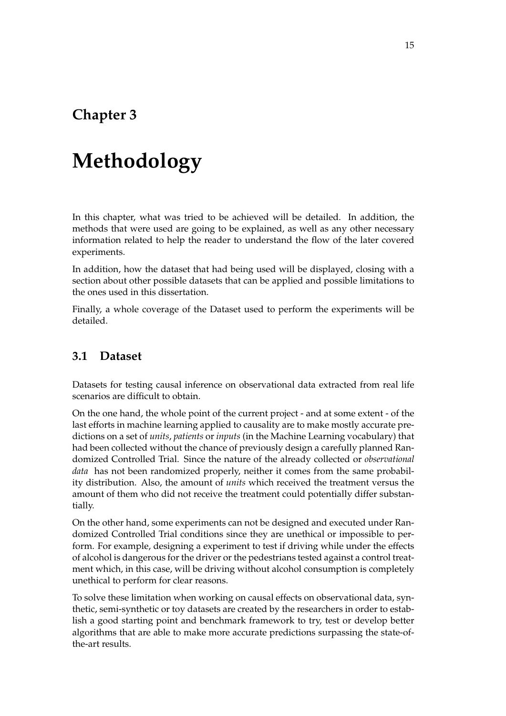# <span id="page-30-0"></span>**Chapter 3**

# **Methodology**

In this chapter, what was tried to be achieved will be detailed. In addition, the methods that were used are going to be explained, as well as any other necessary information related to help the reader to understand the flow of the later covered experiments.

In addition, how the dataset that had being used will be displayed, closing with a section about other possible datasets that can be applied and possible limitations to the ones used in this dissertation.

Finally, a whole coverage of the Dataset used to perform the experiments will be detailed.

### <span id="page-30-1"></span>**3.1 Dataset**

Datasets for testing causal inference on observational data extracted from real life scenarios are difficult to obtain.

On the one hand, the whole point of the current project - and at some extent - of the last efforts in machine learning applied to causality are to make mostly accurate predictions on a set of *units*, *patients* or *inputs* (in the Machine Learning vocabulary) that had been collected without the chance of previously design a carefully planned Randomized Controlled Trial. Since the nature of the already collected or *observational data* has not been randomized properly, neither it comes from the same probability distribution. Also, the amount of *units* which received the treatment versus the amount of them who did not receive the treatment could potentially differ substantially.

On the other hand, some experiments can not be designed and executed under Randomized Controlled Trial conditions since they are unethical or impossible to perform. For example, designing a experiment to test if driving while under the effects of alcohol is dangerous for the driver or the pedestrians tested against a control treatment which, in this case, will be driving without alcohol consumption is completely unethical to perform for clear reasons.

To solve these limitation when working on causal effects on observational data, synthetic, semi-synthetic or toy datasets are created by the researchers in order to establish a good starting point and benchmark framework to try, test or develop better algorithms that are able to make more accurate predictions surpassing the state-ofthe-art results.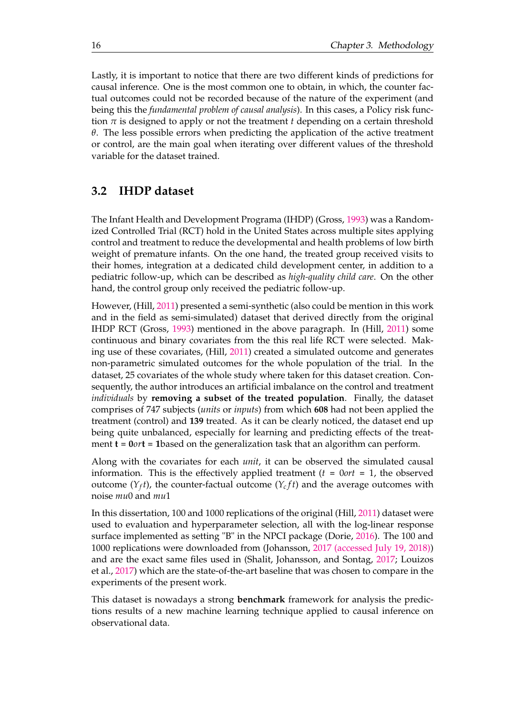Lastly, it is important to notice that there are two different kinds of predictions for causal inference. One is the most common one to obtain, in which, the counter factual outcomes could not be recorded because of the nature of the experiment (and being this the *fundamental problem of causal analysis*). In this cases, a Policy risk function  $\pi$  is designed to apply or not the treatment *t* depending on a certain threshold *θ*. The less possible errors when predicting the application of the active treatment or control, are the main goal when iterating over different values of the threshold variable for the dataset trained.

### <span id="page-31-0"></span>**3.2 IHDP dataset**

The Infant Health and Development Programa (IHDP) (Gross, [1993\)](#page-47-1) was a Randomized Controlled Trial (RCT) hold in the United States across multiple sites applying control and treatment to reduce the developmental and health problems of low birth weight of premature infants. On the one hand, the treated group received visits to their homes, integration at a dedicated child development center, in addition to a pediatric follow-up, which can be described as *high-quality child care*. On the other hand, the control group only received the pediatric follow-up.

However, (Hill, [2011\)](#page-47-0) presented a semi-synthetic (also could be mention in this work and in the field as semi-simulated) dataset that derived directly from the original IHDP RCT (Gross, [1993\)](#page-47-1) mentioned in the above paragraph. In (Hill, [2011\)](#page-47-0) some continuous and binary covariates from the this real life RCT were selected. Making use of these covariates, (Hill, [2011\)](#page-47-0) created a simulated outcome and generates non-parametric simulated outcomes for the whole population of the trial. In the dataset, 25 covariates of the whole study where taken for this dataset creation. Consequently, the author introduces an artificial imbalance on the control and treatment *individuals* by **removing a subset of the treated population**. Finally, the dataset comprises of 747 subjects (*units* or *inputs*) from which **608** had not been applied the treatment (control) and **139** treated. As it can be clearly noticed, the dataset end up being quite unbalanced, especially for learning and predicting effects of the treatment **t** = **0***or***t** = **1**based on the generalization task that an algorithm can perform.

Along with the covariates for each *unit*, it can be observed the simulated causal information. This is the effectively applied treatment  $(t = 0ort = 1$ , the observed outcome ( $Y_f t$ ), the counter-factual outcome ( $Y_c f t$ ) and the average outcomes with noise *mu*0 and *mu*1

In this dissertation, 100 and 1000 replications of the original (Hill, [2011\)](#page-47-0) dataset were used to evaluation and hyperparameter selection, all with the log-linear response surface implemented as setting "B" in the NPCI package (Dorie, [2016\)](#page-47-13). The 100 and 1000 replications were downloaded from (Johansson, [2017 \(accessed July 19, 2018\)\)](#page-47-14) and are the exact same files used in (Shalit, Johansson, and Sontag, [2017;](#page-49-0) Louizos et al., [2017\)](#page-48-13) which are the state-of-the-art baseline that was chosen to compare in the experiments of the present work.

This dataset is nowadays a strong **benchmark** framework for analysis the predictions results of a new machine learning technique applied to causal inference on observational data.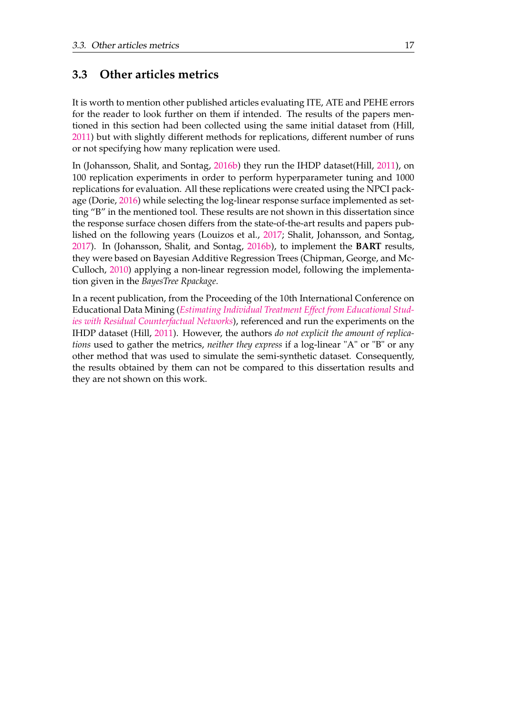### <span id="page-32-0"></span>**3.3 Other articles metrics**

It is worth to mention other published articles evaluating ITE, ATE and PEHE errors for the reader to look further on them if intended. The results of the papers mentioned in this section had been collected using the same initial dataset from (Hill, [2011\)](#page-47-0) but with slightly different methods for replications, different number of runs or not specifying how many replication were used.

In (Johansson, Shalit, and Sontag, [2016b\)](#page-48-14) they run the IHDP dataset(Hill, [2011\)](#page-47-0), on 100 replication experiments in order to perform hyperparameter tuning and 1000 replications for evaluation. All these replications were created using the NPCI pack-age (Dorie, [2016\)](#page-47-13) while selecting the log-linear response surface implemented as setting "B" in the mentioned tool. These results are not shown in this dissertation since the response surface chosen differs from the state-of-the-art results and papers published on the following years (Louizos et al., [2017;](#page-48-13) Shalit, Johansson, and Sontag, [2017\)](#page-49-0). In (Johansson, Shalit, and Sontag, [2016b\)](#page-48-14), to implement the **BART** results, they were based on Bayesian Additive Regression Trees (Chipman, George, and Mc-Culloch, [2010\)](#page-47-6) applying a non-linear regression model, following the implementation given in the *BayesTree Rpackage*.

In a recent publication, from the Proceeding of the 10th International Conference on Educational Data Mining (*[Estimating Individual Treatment Effect from Educational Stud](#page-49-17)[ies with Residual Counterfactual Networks](#page-49-17)*), referenced and run the experiments on the IHDP dataset (Hill, [2011\)](#page-47-0). However, the authors *do not explicit the amount of replications* used to gather the metrics, *neither they express* if a log-linear "A" or "B" or any other method that was used to simulate the semi-synthetic dataset. Consequently, the results obtained by them can not be compared to this dissertation results and they are not shown on this work.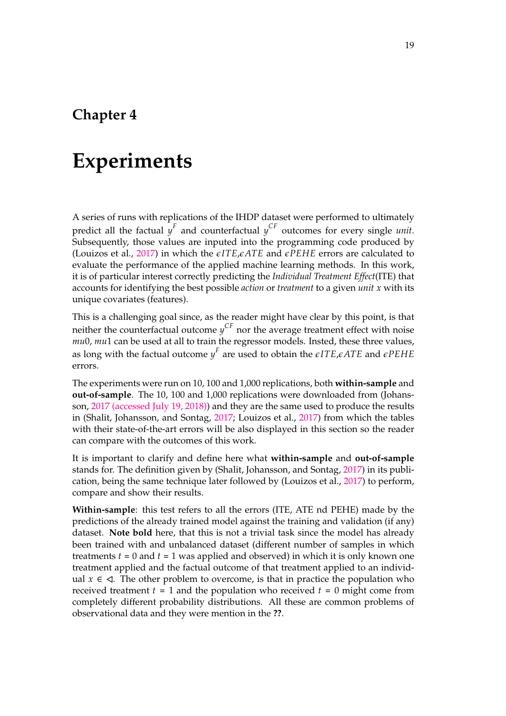# <span id="page-34-0"></span>**Chapter 4**

# **Experiments**

A series of runs with replications of the IHDP dataset were performed to ultimately predict all the factual  $y^F$  and counterfactual  $y^{CF}$  outcomes for every single *unit*. Subsequently, those values are inputed into the programming code produced by (Louizos et al., [2017\)](#page-48-13) in which the *eITE*,*eATE* and *ePEHE* errors are calculated to evaluate the performance of the applied machine learning methods. In this work, it is of particular interest correctly predicting the *Individual Treatment Effect*(ITE) that accounts for identifying the best possible *action* or *treatment* to a given *unit x* with its unique covariates (features).

This is a challenging goal since, as the reader might have clear by this point, is that neither the counterfactual outcome *y CF* nor the average treatment effect with noise *mu*0, *mu*1 can be used at all to train the regressor models. Insted, these three values, as long with the factual outcome  $y^F$  are used to obtain the  $\epsilon$ ITE, $\epsilon$ ATE and  $\epsilon$ PEHE errors.

The experiments were run on 10, 100 and 1,000 replications, both **within-sample** and **out-of-sample**. The 10, 100 and 1,000 replications were downloaded from (Johansson, [2017 \(accessed July 19, 2018\)\)](#page-47-14) and they are the same used to produce the results in (Shalit, Johansson, and Sontag, [2017;](#page-49-0) Louizos et al., [2017\)](#page-48-13) from which the tables with their state-of-the-art errors will be also displayed in this section so the reader can compare with the outcomes of this work.

It is important to clarify and define here what **within-sample** and **out-of-sample** stands for. The definition given by (Shalit, Johansson, and Sontag, [2017\)](#page-49-0) in its publication, being the same technique later followed by (Louizos et al., [2017\)](#page-48-13) to perform, compare and show their results.

**Within-sample**: this test refers to all the errors (ITE, ATE nd PEHE) made by the predictions of the already trained model against the training and validation (if any) dataset. **Note bold** here, that this is not a trivial task since the model has already been trained with and unbalanced dataset (different number of samples in which treatments *t* = 0 and *t* = 1 was applied and observed) in which it is only known one treatment applied and the factual outcome of that treatment applied to an individual  $x \in \Delta$ . The other problem to overcome, is that in practice the population who received treatment  $t = 1$  and the population who received  $t = 0$  might come from completely different probability distributions. All these are common problems of observational data and they were mention in the **??**.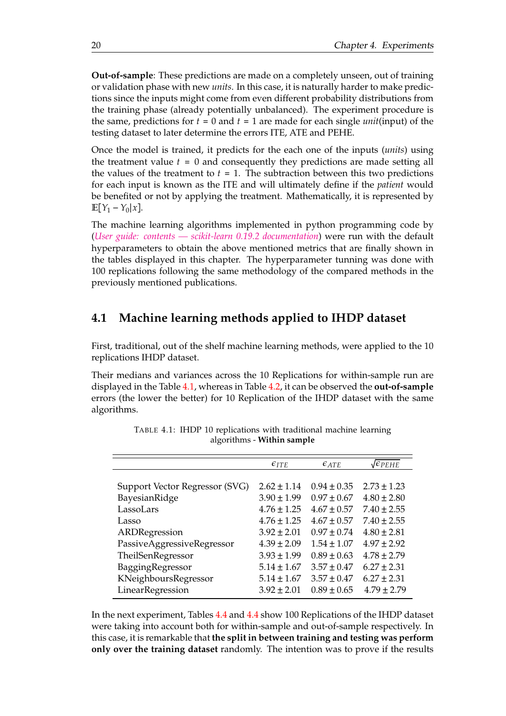**Out-of-sample**: These predictions are made on a completely unseen, out of training or validation phase with new *units*. In this case, it is naturally harder to make predictions since the inputs might come from even different probability distributions from the training phase (already potentially unbalanced). The experiment procedure is the same, predictions for *t* = 0 and *t* = 1 are made for each single *unit*(input) of the testing dataset to later determine the errors ITE, ATE and PEHE.

Once the model is trained, it predicts for the each one of the inputs (*units*) using the treatment value *t* = 0 and consequently they predictions are made setting all the values of the treatment to  $t = 1$ . The subtraction between this two predictions for each input is known as the ITE and will ultimately define if the *patient* would be benefited or not by applying the treatment. Mathematically, it is represented by **E**[ $Y_1 - Y_0|x$ ].

The machine learning algorithms implemented in python programming code by (*[User guide: contents — scikit-learn 0.19.2 documentation](#page-49-2)*) were run with the default hyperparameters to obtain the above mentioned metrics that are finally shown in the tables displayed in this chapter. The hyperparameter tunning was done with 100 replications following the same methodology of the compared methods in the previously mentioned publications.

### <span id="page-35-0"></span>**4.1 Machine learning methods applied to IHDP dataset**

First, traditional, out of the shelf machine learning methods, were applied to the 10 replications IHDP dataset.

Their medians and variances across the 10 Replications for within-sample run are displayed in the Table [4.1,](#page-35-1) whereas in Table [4.2,](#page-36-0) it can be observed the **out-of-sample** errors (the lower the better) for 10 Replication of the IHDP dataset with the same algorithms.

<span id="page-35-1"></span>

|                                | $\epsilon_{ITE}$ | $\epsilon_{ATE}$ | $\sqrt{\epsilon_{PEHE}}$ |
|--------------------------------|------------------|------------------|--------------------------|
|                                |                  |                  |                          |
| Support Vector Regressor (SVG) | $2.62 \pm 1.14$  | $0.94 \pm 0.35$  | $2.73 \pm 1.23$          |
| BayesianRidge                  | $3.90 \pm 1.99$  | $0.97 \pm 0.67$  | $4.80 \pm 2.80$          |
| LassoLars                      | $4.76 \pm 1.25$  | $4.67 \pm 0.57$  | $7.40 \pm 2.55$          |
| Lasso                          | $4.76 \pm 1.25$  | $4.67 \pm 0.57$  | $7.40 \pm 2.55$          |
| ARDRegression                  | $3.92 \pm 2.01$  | $0.97 \pm 0.74$  | $4.80 \pm 2.81$          |
| PassiveAggressiveRegressor     | $4.39 \pm 2.09$  | $1.54 \pm 1.07$  | $4.97 \pm 2.92$          |
| TheilSenRegressor              | $3.93 \pm 1.99$  | $0.89 \pm 0.63$  | $4.78 \pm 2.79$          |
| BaggingRegressor               | $5.14 \pm 1.67$  | $3.57 \pm 0.47$  | $6.27 \pm 2.31$          |
| KNeighboursRegressor           | $5.14 \pm 1.67$  | $3.57 \pm 0.47$  | $6.27 \pm 2.31$          |
| LinearRegression               | $3.92 \pm 2.01$  | $0.89 \pm 0.65$  | $4.79 \pm 2.79$          |

TABLE 4.1: IHDP 10 replications with traditional machine learning algorithms - **Within sample**

In the next experiment, Tables [4.4](#page-36-2) and [4.4](#page-36-2) show 100 Replications of the IHDP dataset were taking into account both for within-sample and out-of-sample respectively. In this case, it is remarkable that **the split in between training and testing was perform only over the training dataset** randomly. The intention was to prove if the results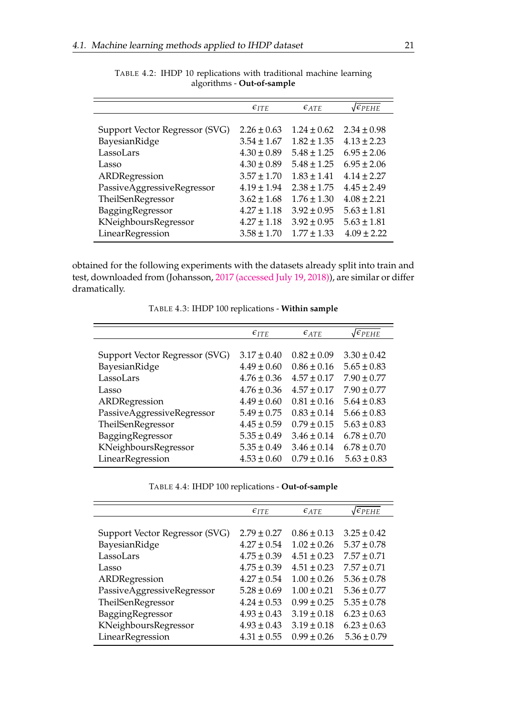<span id="page-36-0"></span>

|                                | $\epsilon_{ITE}$ | $\epsilon$ ATE  | $\sqrt{\epsilon_{PEHE}}$ |
|--------------------------------|------------------|-----------------|--------------------------|
|                                |                  |                 |                          |
| Support Vector Regressor (SVG) | $2.26 \pm 0.63$  | $1.24 \pm 0.62$ | $2.34 \pm 0.98$          |
| BayesianRidge                  | $3.54 \pm 1.67$  | $1.82 \pm 1.35$ | $4.13 \pm 2.23$          |
| LassoLars                      | $4.30 \pm 0.89$  | $5.48 \pm 1.25$ | $6.95 \pm 2.06$          |
| Lasso                          | $4.30 \pm 0.89$  | $5.48 \pm 1.25$ | $6.95 \pm 2.06$          |
| ARDRegression                  | $3.57 \pm 1.70$  | $1.83 \pm 1.41$ | $4.14 \pm 2.27$          |
| PassiveAggressiveRegressor     | $4.19 \pm 1.94$  | $2.38 \pm 1.75$ | $4.45 \pm 2.49$          |
| TheilSenRegressor              | $3.62 \pm 1.68$  | $1.76 \pm 1.30$ | $4.08 \pm 2.21$          |
| BaggingRegressor               | $4.27 \pm 1.18$  | $3.92 \pm 0.95$ | $5.63 \pm 1.81$          |
| KNeighboursRegressor           | $4.27 \pm 1.18$  | $3.92 \pm 0.95$ | $5.63 \pm 1.81$          |
| LinearRegression               | $3.58 \pm 1.70$  | $1.77 \pm 1.33$ | $4.09 \pm 2.22$          |

TABLE 4.2: IHDP 10 replications with traditional machine learning algorithms - **Out-of-sample**

obtained for the following experiments with the datasets already split into train and test, downloaded from (Johansson, [2017 \(accessed July 19, 2018\)\)](#page-47-14), are similar or differ dramatically.

TABLE 4.3: IHDP 100 replications - **Within sample**

<span id="page-36-1"></span>

|                                | $\epsilon_{ITE}$ | $\epsilon$ ATE  | $\sqrt{\epsilon_{PEHE}}$ |
|--------------------------------|------------------|-----------------|--------------------------|
|                                |                  |                 |                          |
| Support Vector Regressor (SVG) | $3.17 \pm 0.40$  | $0.82 \pm 0.09$ | $3.30 \pm 0.42$          |
| BayesianRidge                  | $4.49 \pm 0.60$  | $0.86 + 0.16$   | $5.65 \pm 0.83$          |
| LassoLars                      | $4.76 \pm 0.36$  | $4.57 \pm 0.17$ | $7.90 \pm 0.77$          |
| Lasso                          | $4.76 \pm 0.36$  | $4.57 \pm 0.17$ | $7.90 \pm 0.77$          |
| ARDRegression                  | $4.49 \pm 0.60$  | $0.81 + 0.16$   | $5.64 \pm 0.83$          |
| PassiveAggressiveRegressor     | $5.49 \pm 0.75$  | $0.83 \pm 0.14$ | $5.66 \pm 0.83$          |
| TheilSenRegressor              | $4.45 \pm 0.59$  | $0.79 \pm 0.15$ | $5.63 \pm 0.83$          |
| BaggingRegressor               | $5.35 \pm 0.49$  | $3.46 \pm 0.14$ | $6.78 \pm 0.70$          |
| KNeighboursRegressor           | $5.35 \pm 0.49$  | $3.46 \pm 0.14$ | $6.78 \pm 0.70$          |
| LinearRegression               | $4.53 \pm 0.60$  | $0.79 \pm 0.16$ | $5.63 \pm 0.83$          |

TABLE 4.4: IHDP 100 replications - **Out-of-sample**

<span id="page-36-2"></span>

|                                | $\epsilon_{ITE}$ | $\epsilon$ ATE  | $\sqrt{\epsilon_{PEHE}}$ |
|--------------------------------|------------------|-----------------|--------------------------|
|                                |                  |                 |                          |
| Support Vector Regressor (SVG) | $2.79 \pm 0.27$  | $0.86 \pm 0.13$ | $3.25 \pm 0.42$          |
| BayesianRidge                  | $4.27 \pm 0.54$  | $1.02 \pm 0.26$ | $5.37 \pm 0.78$          |
| LassoLars                      | $4.75 \pm 0.39$  | $4.51 \pm 0.23$ | $7.57 \pm 0.71$          |
| Lasso                          | $4.75 \pm 0.39$  | $4.51 \pm 0.23$ | $7.57 \pm 0.71$          |
| ARDRegression                  | $4.27 \pm 0.54$  | $1.00 \pm 0.26$ | $5.36 \pm 0.78$          |
| PassiveAggressiveRegressor     | $5.28 \pm 0.69$  | $1.00 \pm 0.21$ | $5.36 \pm 0.77$          |
| TheilSenRegressor              | $4.24 \pm 0.53$  | $0.99 \pm 0.25$ | $5.35 \pm 0.78$          |
| BaggingRegressor               | $4.93 \pm 0.43$  | $3.19 \pm 0.18$ | $6.23 \pm 0.63$          |
| KNeighboursRegressor           | $4.93 \pm 0.43$  | $3.19 \pm 0.18$ | $6.23 \pm 0.63$          |
| LinearRegression               | $4.31 \pm 0.55$  | $0.99 \pm 0.26$ | $5.36 \pm 0.79$          |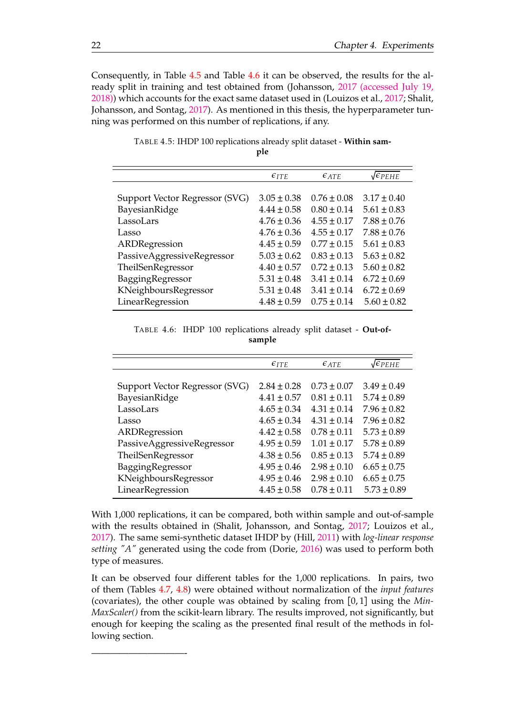Consequently, in Table [4.5](#page-37-0) and Table [4.6](#page-37-1) it can be observed, the results for the already split in training and test obtained from (Johansson, [2017 \(accessed July 19,](#page-47-14) [2018\)\)](#page-47-14) which accounts for the exact same dataset used in (Louizos et al., [2017;](#page-48-13) Shalit, Johansson, and Sontag, [2017\)](#page-49-0). As mentioned in this thesis, the hyperparameter tunning was performed on this number of replications, if any.

<span id="page-37-0"></span>

|                                | $\epsilon_{ITE}$ | $\epsilon_{ATE}$ | $\sqrt{\epsilon_{PEHE}}$ |
|--------------------------------|------------------|------------------|--------------------------|
|                                |                  |                  |                          |
| Support Vector Regressor (SVG) | $3.05 \pm 0.38$  | $0.76 \pm 0.08$  | $3.17 \pm 0.40$          |
| BayesianRidge                  | $4.44 \pm 0.58$  | $0.80 \pm 0.14$  | $5.61 \pm 0.83$          |
| LassoLars                      | $4.76 \pm 0.36$  | $4.55 \pm 0.17$  | $7.88 \pm 0.76$          |
| Lasso                          | $4.76 \pm 0.36$  | $4.55 \pm 0.17$  | $7.88 \pm 0.76$          |
| ARDRegression                  | $4.45 \pm 0.59$  | $0.77 \pm 0.15$  | $5.61 \pm 0.83$          |
| PassiveAggressiveRegressor     | $5.03 \pm 0.62$  | $0.83 \pm 0.13$  | $5.63 \pm 0.82$          |
| TheilSenRegressor              | $4.40 \pm 0.57$  | $0.72 \pm 0.13$  | $5.60 \pm 0.82$          |
| BaggingRegressor               | $5.31 \pm 0.48$  | $3.41 \pm 0.14$  | $6.72 \pm 0.69$          |
| KNeighboursRegressor           | $5.31 \pm 0.48$  | $3.41 \pm 0.14$  | $6.72 \pm 0.69$          |
| LinearRegression               | $4.48 \pm 0.59$  | $0.75 \pm 0.14$  | $5.60 \pm 0.82$          |

TABLE 4.5: IHDP 100 replications already split dataset - **Within sample**

TABLE 4.6: IHDP 100 replications already split dataset - **Out-ofsample**

<span id="page-37-1"></span>

|                                | $\epsilon_{ITE}$ | $\epsilon$ ATE  | $\sqrt{\epsilon_{PEHE}}$ |
|--------------------------------|------------------|-----------------|--------------------------|
|                                |                  |                 |                          |
| Support Vector Regressor (SVG) | $2.84 \pm 0.28$  | $0.73 \pm 0.07$ | $3.49 \pm 0.49$          |
| BayesianRidge                  | $4.41 \pm 0.57$  | $0.81 \pm 0.11$ | $5.74 \pm 0.89$          |
| LassoLars                      | $4.65 \pm 0.34$  | $4.31 \pm 0.14$ | $7.96 \pm 0.82$          |
| Lasso                          | $4.65 \pm 0.34$  | $4.31 \pm 0.14$ | $7.96 \pm 0.82$          |
| ARDRegression                  | $4.42 \pm 0.58$  | $0.78 \pm 0.11$ | $5.73 \pm 0.89$          |
| PassiveAggressiveRegressor     | $4.95 \pm 0.59$  | $1.01 \pm 0.17$ | $5.78 \pm 0.89$          |
| TheilSenRegressor              | $4.38 \pm 0.56$  | $0.85 \pm 0.13$ | $5.74 \pm 0.89$          |
| BaggingRegressor               | $4.95 \pm 0.46$  | $2.98 \pm 0.10$ | $6.65 \pm 0.75$          |
| KNeighboursRegressor           | $4.95 \pm 0.46$  | $2.98 \pm 0.10$ | $6.65 \pm 0.75$          |
| LinearRegression               | $4.45 \pm 0.58$  | $0.78 \pm 0.11$ | $5.73 \pm 0.89$          |

With 1,000 replications, it can be compared, both within sample and out-of-sample with the results obtained in (Shalit, Johansson, and Sontag, [2017;](#page-49-0) Louizos et al., [2017\)](#page-48-13). The same semi-synthetic dataset IHDP by (Hill, [2011\)](#page-47-0) with *log-linear response setting "A"* generated using the code from (Dorie, [2016\)](#page-47-13) was used to perform both type of measures.

It can be observed four different tables for the 1,000 replications. In pairs, two of them (Tables [4.7,](#page-38-0) [4.8\)](#page-38-1) were obtained without normalization of the *input features* (covariates), the other couple was obtained by scaling from [0, 1] using the *Min-MaxScaler()* from the scikit-learn library. The results improved, not significantly, but enough for keeping the scaling as the presented final result of the methods in following section.

——————————-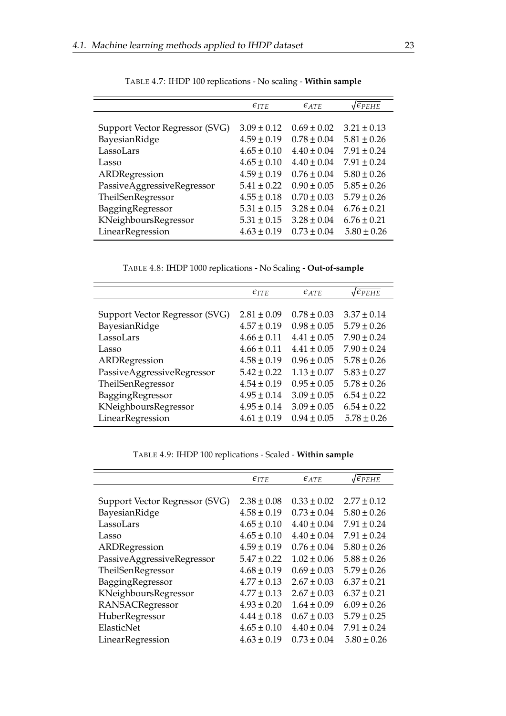<span id="page-38-0"></span>

|                                | $\epsilon_{ITE}$ | $\epsilon_{ATE}$ | $\sqrt{\epsilon_{PEHE}}$ |
|--------------------------------|------------------|------------------|--------------------------|
|                                |                  |                  |                          |
| Support Vector Regressor (SVG) | $3.09 \pm 0.12$  | $0.69 \pm 0.02$  | $3.21 \pm 0.13$          |
| BayesianRidge                  | $4.59 \pm 0.19$  | $0.78 \pm 0.04$  | $5.81 \pm 0.26$          |
| LassoLars                      | $4.65 \pm 0.10$  | $4.40 \pm 0.04$  | $7.91 \pm 0.24$          |
| Lasso                          | $4.65 \pm 0.10$  | $4.40 \pm 0.04$  | $7.91 \pm 0.24$          |
| ARDRegression                  | $4.59 \pm 0.19$  | $0.76 \pm 0.04$  | $5.80 \pm 0.26$          |
| PassiveAggressiveRegressor     | $5.41 \pm 0.22$  | $0.90 \pm 0.05$  | $5.85 \pm 0.26$          |
| TheilSenRegressor              | $4.55 \pm 0.18$  | $0.70 \pm 0.03$  | $5.79 \pm 0.26$          |
| BaggingRegressor               | $5.31 \pm 0.15$  | $3.28 \pm 0.04$  | $6.76 \pm 0.21$          |
| KNeighboursRegressor           | $5.31 \pm 0.15$  | $3.28 \pm 0.04$  | $6.76 \pm 0.21$          |
| LinearRegression               | $4.63 \pm 0.19$  | $0.73 \pm 0.04$  | $5.80 \pm 0.26$          |

TABLE 4.7: IHDP 100 replications - No scaling - **Within sample**

TABLE 4.8: IHDP 1000 replications - No Scaling - **Out-of-sample**

<span id="page-38-1"></span>

|                                | $\epsilon_{ITE}$ | $\epsilon_{ATE}$ | $\sqrt{\epsilon_{PEHE}}$ |
|--------------------------------|------------------|------------------|--------------------------|
|                                |                  |                  |                          |
| Support Vector Regressor (SVG) | $2.81 \pm 0.09$  | $0.78 + 0.03$    | $3.37 \pm 0.14$          |
| BayesianRidge                  | $4.57 \pm 0.19$  | $0.98 \pm 0.05$  | $5.79 \pm 0.26$          |
| LassoLars                      | $4.66 \pm 0.11$  | $4.41 + 0.05$    | $7.90 \pm 0.24$          |
| Lasso                          | $4.66 \pm 0.11$  | $4.41 \pm 0.05$  | $7.90 \pm 0.24$          |
| ARDRegression                  | $4.58 \pm 0.19$  | $0.96 + 0.05$    | $5.78 \pm 0.26$          |
| PassiveAggressiveRegressor     | $5.42 \pm 0.22$  | $1.13 \pm 0.07$  | $5.83 \pm 0.27$          |
| TheilSenRegressor              | $4.54 \pm 0.19$  | $0.95 \pm 0.05$  | $5.78 \pm 0.26$          |
| BaggingRegressor               | $4.95 \pm 0.14$  | $3.09 \pm 0.05$  | $6.54 \pm 0.22$          |
| KNeighboursRegressor           | $4.95 \pm 0.14$  | $3.09 \pm 0.05$  | $6.54 \pm 0.22$          |
| LinearRegression               | $4.61 \pm 0.19$  | $0.94 \pm 0.05$  | $5.78 \pm 0.26$          |

TABLE 4.9: IHDP 100 replications - Scaled - **Within sample**

<span id="page-38-2"></span>

| $\epsilon_{ITE}$ | $\epsilon_{ATE}$ | $\sqrt{\epsilon_{PEHE}}$ |
|------------------|------------------|--------------------------|
|                  |                  |                          |
| $2.38 \pm 0.08$  | $0.33 \pm 0.02$  | $2.77 \pm 0.12$          |
| $4.58 \pm 0.19$  | $0.73 \pm 0.04$  | $5.80 \pm 0.26$          |
| $4.65 \pm 0.10$  | $4.40 \pm 0.04$  | $7.91 \pm 0.24$          |
| $4.65 \pm 0.10$  | $4.40 \pm 0.04$  | $7.91 \pm 0.24$          |
| $4.59 \pm 0.19$  | $0.76 \pm 0.04$  | $5.80 \pm 0.26$          |
| $5.47 \pm 0.22$  | $1.02 \pm 0.06$  | $5.88 \pm 0.26$          |
| $4.68 \pm 0.19$  | $0.69 \pm 0.03$  | $5.79 \pm 0.26$          |
| $4.77 \pm 0.13$  | $2.67 \pm 0.03$  | $6.37 \pm 0.21$          |
| $4.77 \pm 0.13$  | $2.67 \pm 0.03$  | $6.37 \pm 0.21$          |
| $4.93 \pm 0.20$  | $1.64 \pm 0.09$  | $6.09 \pm 0.26$          |
| $4.44 \pm 0.18$  | $0.67 \pm 0.03$  | $5.79 \pm 0.25$          |
| $4.65 \pm 0.10$  | $4.40 \pm 0.04$  | $7.91 \pm 0.24$          |
| $4.63 \pm 0.19$  | $0.73 \pm 0.04$  | $5.80 \pm 0.26$          |
|                  |                  |                          |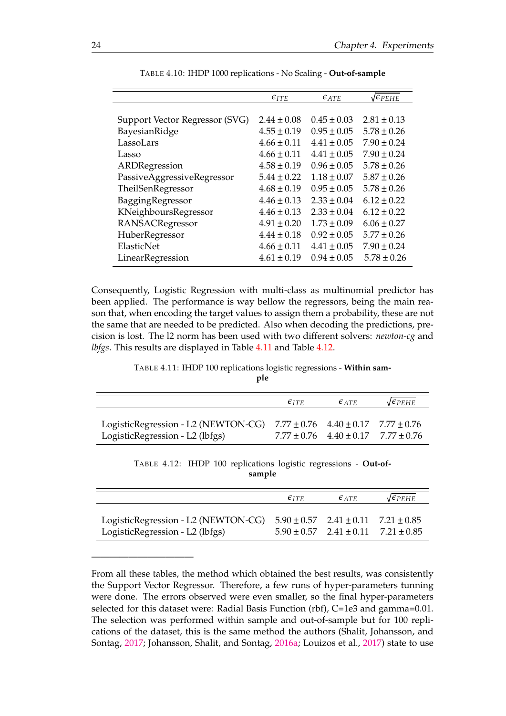<span id="page-39-0"></span>

|                                | $\epsilon_{ITE}$ | $\epsilon$ ATE  | $\sqrt{\epsilon_{PEHE}}$ |
|--------------------------------|------------------|-----------------|--------------------------|
|                                |                  |                 |                          |
| Support Vector Regressor (SVG) | $2.44 + 0.08$    | $0.45 \pm 0.03$ | $2.81 \pm 0.13$          |
| BayesianRidge                  | $4.55 \pm 0.19$  | $0.95 \pm 0.05$ | $5.78 \pm 0.26$          |
| LassoLars                      | $4.66 \pm 0.11$  | $4.41 \pm 0.05$ | $7.90 \pm 0.24$          |
| Lasso                          | $4.66 \pm 0.11$  | $4.41 \pm 0.05$ | $7.90 \pm 0.24$          |
| ARDRegression                  | $4.58 \pm 0.19$  | $0.96 \pm 0.05$ | $5.78 \pm 0.26$          |
| PassiveAggressiveRegressor     | $5.44 \pm 0.22$  | $1.18 \pm 0.07$ | $5.87 \pm 0.26$          |
| TheilSenRegressor              | $4.68 \pm 0.19$  | $0.95 \pm 0.05$ | $5.78 \pm 0.26$          |
| BaggingRegressor               | $4.46 \pm 0.13$  | $2.33 \pm 0.04$ | $6.12 \pm 0.22$          |
| KNeighboursRegressor           | $4.46 \pm 0.13$  | $2.33 \pm 0.04$ | $6.12 \pm 0.22$          |
| RANSACRegressor                | $4.91 \pm 0.20$  | $1.73 \pm 0.09$ | $6.06 \pm 0.27$          |
| HuberRegressor                 | $4.44 \pm 0.18$  | $0.92 \pm 0.05$ | $5.77 \pm 0.26$          |
| ElasticNet                     | $4.66 \pm 0.11$  | $4.41 \pm 0.05$ | $7.90 \pm 0.24$          |
| LinearRegression               | $4.61 \pm 0.19$  | $0.94 \pm 0.05$ | $5.78 \pm 0.26$          |

TABLE 4.10: IHDP 1000 replications - No Scaling - **Out-of-sample**

Consequently, Logistic Regression with multi-class as multinomial predictor has been applied. The performance is way bellow the regressors, being the main reason that, when encoding the target values to assign them a probability, these are not the same that are needed to be predicted. Also when decoding the predictions, precision is lost. The l2 norm has been used with two different solvers: *newton-cg* and *lbfgs*. This results are displayed in Table [4.11](#page-39-1) and Table [4.12.](#page-39-2)

TABLE 4.11: IHDP 100 replications logistic regressions - **Within sam-**

**ple**

<span id="page-39-1"></span>

|                                                                                                                        | $\epsilon_{ITF}$ | $\epsilon$ at $\epsilon$                        | $\sqrt{\epsilon_{PEHE}}$ |
|------------------------------------------------------------------------------------------------------------------------|------------------|-------------------------------------------------|--------------------------|
|                                                                                                                        |                  |                                                 |                          |
| LogisticRegression - L2 (NEWTON-CG) $7.77 \pm 0.76$ $4.40 \pm 0.17$ $7.77 \pm 0.76$<br>LogisticRegression - L2 (lbfgs) |                  | $7.77 \pm 0.76$ $4.40 \pm 0.17$ $7.77 \pm 0.76$ |                          |

TABLE 4.12: IHDP 100 replications logistic regressions - **Out-ofsample**

<span id="page-39-2"></span>

|                                                                                     | $\epsilon_{ITF}$ | $\epsilon$ at $\epsilon$                        | $\sqrt{\epsilon_{PEHE}}$ |
|-------------------------------------------------------------------------------------|------------------|-------------------------------------------------|--------------------------|
| LogisticRegression - L2 (NEWTON-CG) $5.90 \pm 0.57$ $2.41 \pm 0.11$ $7.21 \pm 0.85$ |                  |                                                 |                          |
| LogisticRegression - L2 (lbfgs)                                                     |                  | $5.90 \pm 0.57$ $2.41 \pm 0.11$ $7.21 \pm 0.85$ |                          |

———————————

From all these tables, the method which obtained the best results, was consistently the Support Vector Regressor. Therefore, a few runs of hyper-parameters tunning were done. The errors observed were even smaller, so the final hyper-parameters selected for this dataset were: Radial Basis Function (rbf), C=1e3 and gamma=0.01. The selection was performed within sample and out-of-sample but for 100 replications of the dataset, this is the same method the authors (Shalit, Johansson, and Sontag, [2017;](#page-49-0) Johansson, Shalit, and Sontag, [2016a;](#page-48-8) Louizos et al., [2017\)](#page-48-13) state to use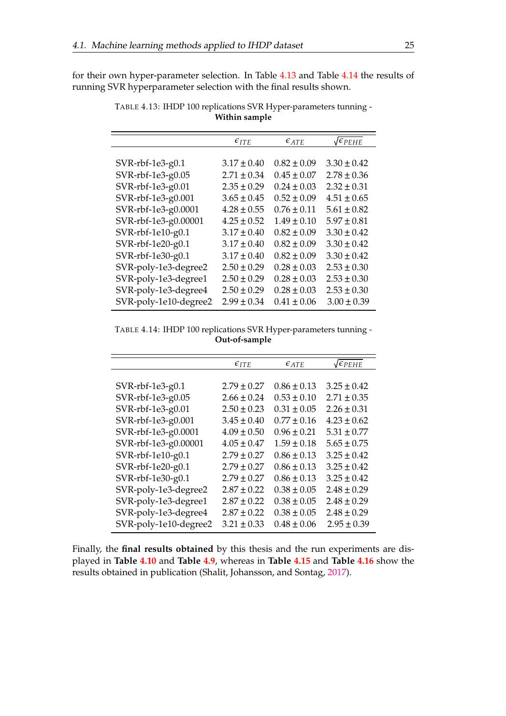<span id="page-40-0"></span>for their own hyper-parameter selection. In Table [4.13](#page-40-0) and Table [4.14](#page-40-1) the results of running SVR hyperparameter selection with the final results shown.

| $\epsilon_{ITE}$ | $\epsilon$ ATE  | $\sqrt{\epsilon_{PEHE}}$ |
|------------------|-----------------|--------------------------|
|                  |                 |                          |
| $3.17 \pm 0.40$  | $0.82 \pm 0.09$ | $3.30 \pm 0.42$          |
| $2.71 \pm 0.34$  | $0.45 \pm 0.07$ | $2.78 \pm 0.36$          |
| $2.35 \pm 0.29$  | $0.24 \pm 0.03$ | $2.32 \pm 0.31$          |
| $3.65 \pm 0.45$  | $0.52 \pm 0.09$ | $4.51 \pm 0.65$          |
| $4.28 \pm 0.55$  | $0.76 \pm 0.11$ | $5.61 \pm 0.82$          |
| $4.25 \pm 0.52$  | $1.49 \pm 0.10$ | $5.97 \pm 0.81$          |
| $3.17 \pm 0.40$  | $0.82 \pm 0.09$ | $3.30 \pm 0.42$          |
| $3.17 \pm 0.40$  | $0.82 \pm 0.09$ | $3.30 \pm 0.42$          |
| $3.17 \pm 0.40$  | $0.82 \pm 0.09$ | $3.30 \pm 0.42$          |
| $2.50 \pm 0.29$  | $0.28 \pm 0.03$ | $2.53 \pm 0.30$          |
| $2.50 \pm 0.29$  | $0.28 \pm 0.03$ | $2.53 \pm 0.30$          |
| $2.50 \pm 0.29$  | $0.28 \pm 0.03$ | $2.53 \pm 0.30$          |
| $2.99 \pm 0.34$  | $0.41 \pm 0.06$ | $3.00 \pm 0.39$          |
|                  |                 |                          |

TABLE 4.13: IHDP 100 replications SVR Hyper-parameters tunning - **Within sample**

<span id="page-40-1"></span>TABLE 4.14: IHDP 100 replications SVR Hyper-parameters tunning - **Out-of-sample**

|                       | $\epsilon_{ATE}$<br>$\epsilon_{ITE}$ |                 | $\sqrt{\epsilon_{PEHE}}$ |
|-----------------------|--------------------------------------|-----------------|--------------------------|
|                       |                                      |                 |                          |
| SVR-rbf-1e3-g0.1      | $2.79 \pm 0.27$                      | $0.86 \pm 0.13$ | $3.25 \pm 0.42$          |
| SVR-rbf-1e3-g0.05     | $2.66 \pm 0.24$                      | $0.53 \pm 0.10$ | $2.71 \pm 0.35$          |
| SVR-rbf-1e3-g0.01     | $2.50 \pm 0.23$                      | $0.31 \pm 0.05$ | $2.26 \pm 0.31$          |
| SVR-rbf-1e3-g0.001    | $3.45 \pm 0.40$                      | $0.77 \pm 0.16$ | $4.23 \pm 0.62$          |
| SVR-rbf-1e3-g0.0001   | $4.09 \pm 0.50$                      | $0.96 \pm 0.21$ | $5.31 \pm 0.77$          |
| SVR-rbf-1e3-g0.00001  | $4.05 \pm 0.47$                      | $1.59 \pm 0.18$ | $5.65 \pm 0.75$          |
| SVR-rbf-1e10-g0.1     | $2.79 \pm 0.27$                      | $0.86 \pm 0.13$ | $3.25 \pm 0.42$          |
| SVR-rbf-1e20-g0.1     | $2.79 \pm 0.27$                      | $0.86 \pm 0.13$ | $3.25 \pm 0.42$          |
| SVR-rbf-1e30-g0.1     | $2.79 \pm 0.27$                      | $0.86 \pm 0.13$ | $3.25 \pm 0.42$          |
| SVR-poly-1e3-degree2  | $2.87 \pm 0.22$                      | $0.38 \pm 0.05$ | $2.48 \pm 0.29$          |
| SVR-poly-1e3-degree1  | $2.87 \pm 0.22$                      | $0.38 \pm 0.05$ | $2.48 \pm 0.29$          |
| SVR-poly-1e3-degree4  | $2.87 \pm 0.22$                      | $0.38 \pm 0.05$ | $2.48 \pm 0.29$          |
| SVR-poly-1e10-degree2 | $3.21 \pm 0.33$                      | $0.48 \pm 0.06$ | $2.95 \pm 0.39$          |
|                       |                                      |                 |                          |

Finally, the **final results obtained** by this thesis and the run experiments are displayed in **Table [4.10](#page-39-0)** and **Table [4.9](#page-38-2)**, whereas in **Table [4.15](#page-41-0)** and **Table [4.16](#page-41-1)** show the results obtained in publication (Shalit, Johansson, and Sontag, [2017\)](#page-49-0).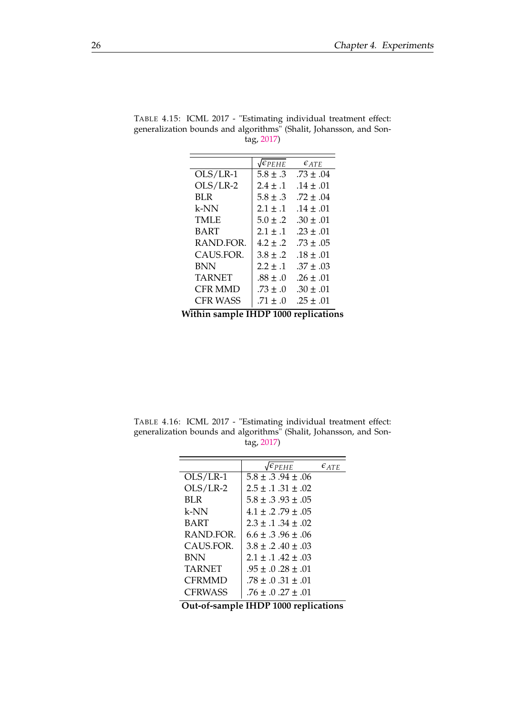| $\sqrt{\epsilon_{PEHE}}$ | $\epsilon_{ATE}$ |
|--------------------------|------------------|
| $5.8 + .3$               | $.73 + .04$      |
| $2.4 \pm .1$             | $.14 + .01$      |
| $5.8 + .3$               | $.72 + .04$      |
| $2.1 + .1$               | $.14 + .01$      |
| $5.0 + .2$               | $.30 + .01$      |
| $2.1 + .1$               | $.23 + .01$      |
| $4.2 + .2$               | $.73 \pm .05$    |
| $3.8 \pm .2$             | $.18 + .01$      |
| $2.2 \pm .1$             | $.37 + .03$      |
| $.88 \pm .0$             | $.26 + .01$      |
| $.73 + .0$               | $.30 \pm .01$    |
| $.71 \pm .0$             | $.25 + .01$      |
|                          |                  |

<span id="page-41-0"></span>TABLE 4.15: ICML 2017 - "Estimating individual treatment effect: generalization bounds and algorithms" (Shalit, Johansson, and Sontag, [2017\)](#page-49-0)

**Within sample IHDP 1000 replications**

<span id="page-41-1"></span>TABLE 4.16: ICML 2017 - "Estimating individual treatment effect: generalization bounds and algorithms" (Shalit, Johansson, and Sontag, [2017\)](#page-49-0)

|               | $\sqrt{\epsilon_{PEHE}}$          | $\epsilon$ ATE |
|---------------|-----------------------------------|----------------|
| OLS/LR-1      | $5.8 + .3.94 + .06$               |                |
| $OLS/LR-2$    | $2.5 \pm .1$ .31 $\pm .02$        |                |
| BL R          | $5.8 + .3.93 + .05$               |                |
| k-NN          | $4.1 + .2$ . 79 + .05             |                |
| BART          | $2.3 \pm .1$ .34 $\pm .02$        |                |
| RAND.FOR.     | $6.6 + 3.96 + 0.06$               |                |
| CAUS.FOR.     | $3.8 + .2$ $.40 + .03$            |                |
| BNN           | $2.1 + .1$ . $42 + .03$           |                |
| <b>TARNET</b> | $.95 + .0.28 + .01$               |                |
| CFRMMD        | $.78 + .0.31 + .01$               |                |
| CFRWASS       | $.76 \pm .0$ .27 $\pm .01$<br>. . |                |

**Out-of-sample IHDP 1000 replications**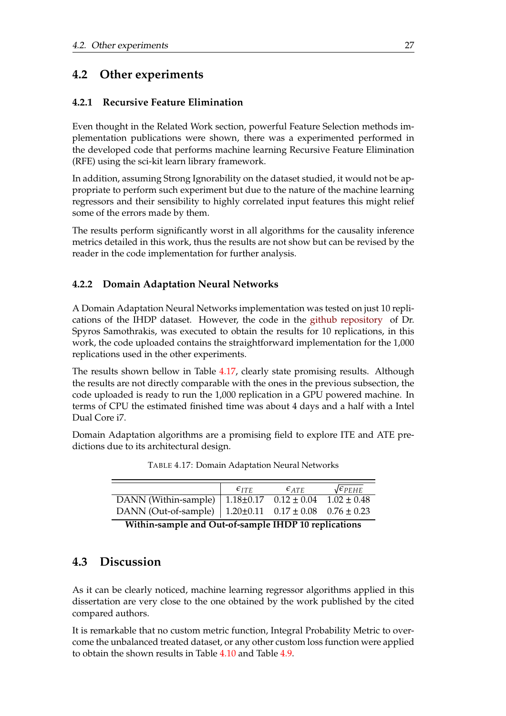## <span id="page-42-0"></span>**4.2 Other experiments**

### <span id="page-42-1"></span>**4.2.1 Recursive Feature Elimination**

Even thought in the Related Work section, powerful Feature Selection methods implementation publications were shown, there was a experimented performed in the developed code that performs machine learning Recursive Feature Elimination (RFE) using the sci-kit learn library framework.

In addition, assuming Strong Ignorability on the dataset studied, it would not be appropriate to perform such experiment but due to the nature of the machine learning regressors and their sensibility to highly correlated input features this might relief some of the errors made by them.

The results perform significantly worst in all algorithms for the causality inference metrics detailed in this work, thus the results are not show but can be revised by the reader in the code implementation for further analysis.

### <span id="page-42-2"></span>**4.2.2 Domain Adaptation Neural Networks**

A Domain Adaptation Neural Networks implementation was tested on just 10 replications of the IHDP dataset. However, the code in the [github repository](https://github.com/ssamot/DANN-causal) of Dr. Spyros Samothrakis, was executed to obtain the results for 10 replications, in this work, the code uploaded contains the straightforward implementation for the 1,000 replications used in the other experiments.

The results shown bellow in Table [4.17,](#page-42-4) clearly state promising results. Although the results are not directly comparable with the ones in the previous subsection, the code uploaded is ready to run the 1,000 replication in a GPU powered machine. In terms of CPU the estimated finished time was about 4 days and a half with a Intel Dual Core i7.

<span id="page-42-4"></span>Domain Adaptation algorithms are a promising field to explore ITE and ATE predictions due to its architectural design.

|                                                                      | $\epsilon_{ITF}$ | $\epsilon$ at $\epsilon$ | $\sqrt{\epsilon_{PEHE}}$ |
|----------------------------------------------------------------------|------------------|--------------------------|--------------------------|
| DANN (Within-sample) $\vert 1.18 \pm 0.17 \quad 0.12 \pm 0.04 \vert$ |                  |                          | $1.02 \pm 0.48$          |
| DANN (Out-of-sample) $\vert$ 1.20±0.11 0.17 ± 0.08 0.76 ± 0.23       |                  |                          |                          |

TABLE 4.17: Domain Adaptation Neural Networks

**Within-sample and Out-of-sample IHDP 10 replications**

### <span id="page-42-3"></span>**4.3 Discussion**

As it can be clearly noticed, machine learning regressor algorithms applied in this dissertation are very close to the one obtained by the work published by the cited compared authors.

It is remarkable that no custom metric function, Integral Probability Metric to overcome the unbalanced treated dataset, or any other custom loss function were applied to obtain the shown results in Table [4.10](#page-39-0) and Table [4.9.](#page-38-2)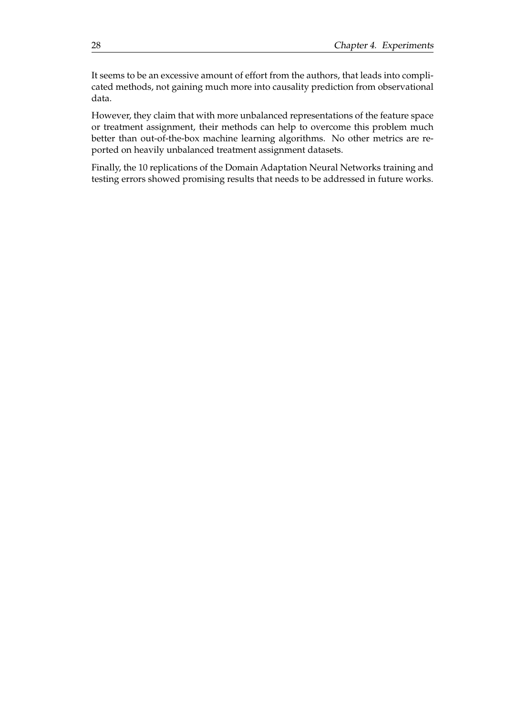It seems to be an excessive amount of effort from the authors, that leads into complicated methods, not gaining much more into causality prediction from observational data.

However, they claim that with more unbalanced representations of the feature space or treatment assignment, their methods can help to overcome this problem much better than out-of-the-box machine learning algorithms. No other metrics are reported on heavily unbalanced treatment assignment datasets.

Finally, the 10 replications of the Domain Adaptation Neural Networks training and testing errors showed promising results that needs to be addressed in future works.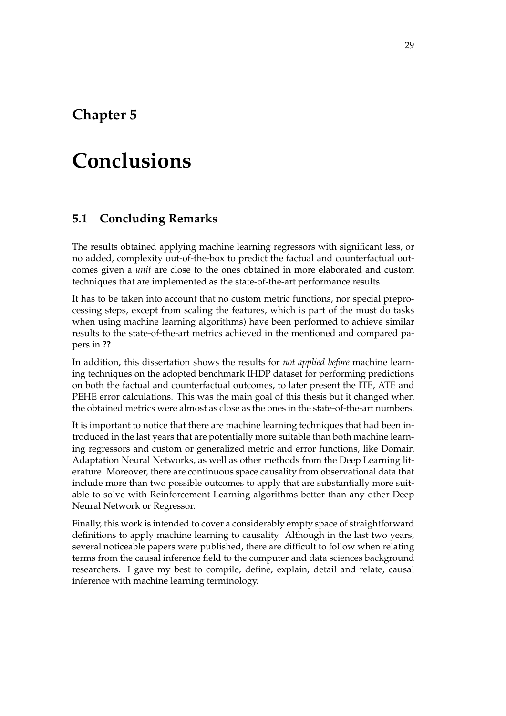# <span id="page-44-0"></span>**Chapter 5**

# **Conclusions**

## <span id="page-44-1"></span>**5.1 Concluding Remarks**

The results obtained applying machine learning regressors with significant less, or no added, complexity out-of-the-box to predict the factual and counterfactual outcomes given a *unit* are close to the ones obtained in more elaborated and custom techniques that are implemented as the state-of-the-art performance results.

It has to be taken into account that no custom metric functions, nor special preprocessing steps, except from scaling the features, which is part of the must do tasks when using machine learning algorithms) have been performed to achieve similar results to the state-of-the-art metrics achieved in the mentioned and compared papers in **??**.

In addition, this dissertation shows the results for *not applied before* machine learning techniques on the adopted benchmark IHDP dataset for performing predictions on both the factual and counterfactual outcomes, to later present the ITE, ATE and PEHE error calculations. This was the main goal of this thesis but it changed when the obtained metrics were almost as close as the ones in the state-of-the-art numbers.

It is important to notice that there are machine learning techniques that had been introduced in the last years that are potentially more suitable than both machine learning regressors and custom or generalized metric and error functions, like Domain Adaptation Neural Networks, as well as other methods from the Deep Learning literature. Moreover, there are continuous space causality from observational data that include more than two possible outcomes to apply that are substantially more suitable to solve with Reinforcement Learning algorithms better than any other Deep Neural Network or Regressor.

Finally, this work is intended to cover a considerably empty space of straightforward definitions to apply machine learning to causality. Although in the last two years, several noticeable papers were published, there are difficult to follow when relating terms from the causal inference field to the computer and data sciences background researchers. I gave my best to compile, define, explain, detail and relate, causal inference with machine learning terminology.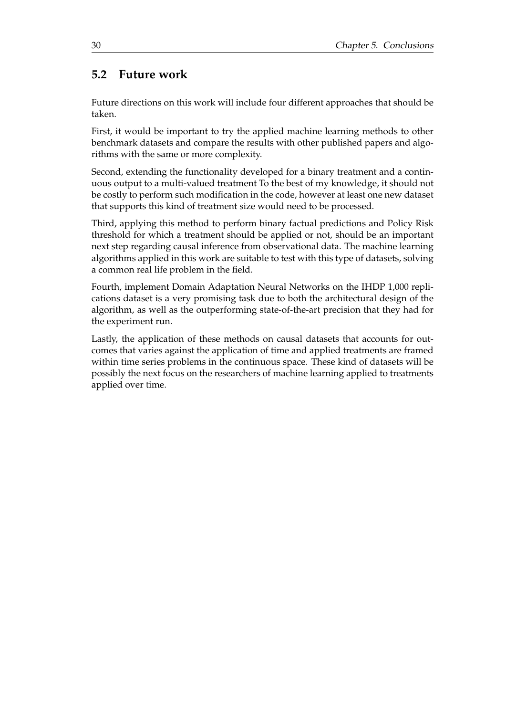### <span id="page-45-0"></span>**5.2 Future work**

Future directions on this work will include four different approaches that should be taken.

First, it would be important to try the applied machine learning methods to other benchmark datasets and compare the results with other published papers and algorithms with the same or more complexity.

Second, extending the functionality developed for a binary treatment and a continuous output to a multi-valued treatment To the best of my knowledge, it should not be costly to perform such modification in the code, however at least one new dataset that supports this kind of treatment size would need to be processed.

Third, applying this method to perform binary factual predictions and Policy Risk threshold for which a treatment should be applied or not, should be an important next step regarding causal inference from observational data. The machine learning algorithms applied in this work are suitable to test with this type of datasets, solving a common real life problem in the field.

Fourth, implement Domain Adaptation Neural Networks on the IHDP 1,000 replications dataset is a very promising task due to both the architectural design of the algorithm, as well as the outperforming state-of-the-art precision that they had for the experiment run.

Lastly, the application of these methods on causal datasets that accounts for outcomes that varies against the application of time and applied treatments are framed within time series problems in the continuous space. These kind of datasets will be possibly the next focus on the researchers of machine learning applied to treatments applied over time.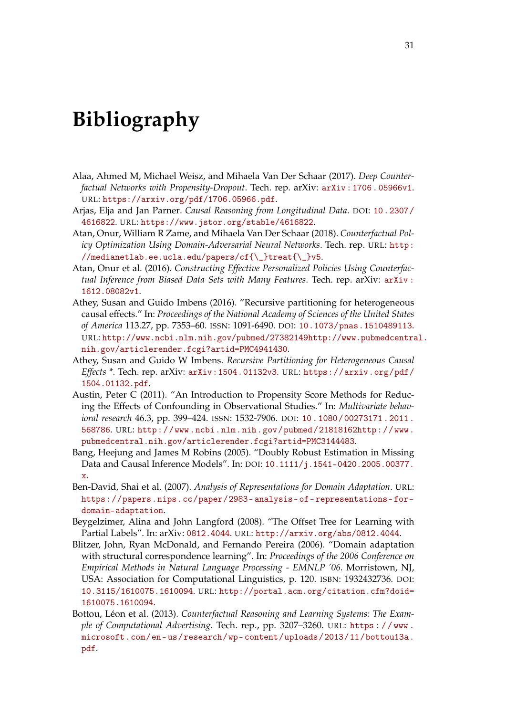# <span id="page-46-0"></span>**Bibliography**

- <span id="page-46-5"></span>Alaa, Ahmed M, Michael Weisz, and Mihaela Van Der Schaar (2017). *Deep Counterfactual Networks with Propensity-Dropout*. Tech. rep. arXiv: [arXiv : 1706 . 05966v1](https://arxiv.org/abs/arXiv:1706.05966v1). URL: <https://arxiv.org/pdf/1706.05966.pdf>.
- <span id="page-46-12"></span>Arjas, Elja and Jan Parner. *Causal Reasoning from Longitudinal Data*. DOI: [10.2307/](https://doi.org/10.2307/4616822) [4616822](https://doi.org/10.2307/4616822). URL: <https://www.jstor.org/stable/4616822>.
- <span id="page-46-8"></span>Atan, Onur, William R Zame, and Mihaela Van Der Schaar (2018). *Counterfactual Policy Optimization Using Domain-Adversarial Neural Networks*. Tech. rep. URL: [http:](http://medianetlab.ee.ucla.edu/papers/cf{\_}treat{\_}v5) [//medianetlab.ee.ucla.edu/papers/cf{\\\_}treat{\\\_}v5](http://medianetlab.ee.ucla.edu/papers/cf{\_}treat{\_}v5).
- <span id="page-46-7"></span>Atan, Onur et al. (2016). *Constructing Effective Personalized Policies Using Counterfactual Inference from Biased Data Sets with Many Features*. Tech. rep. arXiv: [arXiv :](https://arxiv.org/abs/arXiv:1612.08082v1) [1612.08082v1](https://arxiv.org/abs/arXiv:1612.08082v1).
- <span id="page-46-6"></span>Athey, Susan and Guido Imbens (2016). "Recursive partitioning for heterogeneous causal effects." In: *Proceedings of the National Academy of Sciences of the United States of America* 113.27, pp. 7353–60. ISSN: 1091-6490. DOI: [10.1073/pnas.1510489113](https://doi.org/10.1073/pnas.1510489113). URL: [http://www.ncbi.nlm.nih.gov/pubmed/27382149http://www.pubmedcentra](http://www.ncbi.nlm.nih.gov/pubmed/27382149 http://www.pubmedcentral.nih.gov/articlerender.fcgi?artid=PMC4941430)l. [nih.gov/articlerender.fcgi?artid=PMC4941430](http://www.ncbi.nlm.nih.gov/pubmed/27382149 http://www.pubmedcentral.nih.gov/articlerender.fcgi?artid=PMC4941430).
- <span id="page-46-1"></span>Athey, Susan and Guido W Imbens. *Recursive Partitioning for Heterogeneous Causal Effects \**. Tech. rep. arXiv: [arXiv:1504.01132v3](https://arxiv.org/abs/arXiv:1504.01132v3). URL: [https://arxiv.org/pdf/](https://arxiv.org/pdf/1504.01132.pdf) [1504.01132.pdf](https://arxiv.org/pdf/1504.01132.pdf).
- <span id="page-46-3"></span>Austin, Peter C (2011). "An Introduction to Propensity Score Methods for Reducing the Effects of Confounding in Observational Studies." In: *Multivariate behavioral research* 46.3, pp. 399–424. ISSN: 1532-7906. DOI: [10 . 1080 / 00273171 . 2011 .](https://doi.org/10.1080/00273171.2011.568786) [568786](https://doi.org/10.1080/00273171.2011.568786). URL: [http://www.ncbi.nlm.nih.gov/pubmed/21818162http://www.](http://www.ncbi.nlm.nih.gov/pubmed/21818162 http://www.pubmedcentral.nih.gov/articlerender.fcgi?artid=PMC3144483) [pubmedcentral.nih.gov/articlerender.fcgi?artid=PMC3144483](http://www.ncbi.nlm.nih.gov/pubmed/21818162 http://www.pubmedcentral.nih.gov/articlerender.fcgi?artid=PMC3144483).
- <span id="page-46-4"></span>Bang, Heejung and James M Robins (2005). "Doubly Robust Estimation in Missing Data and Causal Inference Models". In: DOI: [10.1111/j.1541-0420.2005.00377.](https://doi.org/10.1111/j.1541-0420.2005.00377.x) [x](https://doi.org/10.1111/j.1541-0420.2005.00377.x).
- <span id="page-46-9"></span>Ben-David, Shai et al. (2007). *Analysis of Representations for Domain Adaptation*. URL: [https://papers.nips.cc/paper/2983- analysis- of- representations- for](https://papers.nips.cc/paper/2983-analysis-of-representations-for-domain-adaptation)[domain-adaptation](https://papers.nips.cc/paper/2983-analysis-of-representations-for-domain-adaptation).
- <span id="page-46-11"></span>Beygelzimer, Alina and John Langford (2008). "The Offset Tree for Learning with Partial Labels". In: arXiv: [0812.4044](https://arxiv.org/abs/0812.4044). URL: <http://arxiv.org/abs/0812.4044>.
- <span id="page-46-10"></span>Blitzer, John, Ryan McDonald, and Fernando Pereira (2006). "Domain adaptation with structural correspondence learning". In: *Proceedings of the 2006 Conference on Empirical Methods in Natural Language Processing - EMNLP '06*. Morristown, NJ, USA: Association for Computational Linguistics, p. 120. ISBN: 1932432736. DOI: [10.3115/1610075.1610094](https://doi.org/10.3115/1610075.1610094). URL: [http://portal.acm.org/citation.cfm?doid=](http://portal.acm.org/citation.cfm?doid=1610075.1610094) [1610075.1610094](http://portal.acm.org/citation.cfm?doid=1610075.1610094).
- <span id="page-46-2"></span>Bottou, Léon et al. (2013). *Counterfactual Reasoning and Learning Systems: The Example of Computational Advertising*. Tech. rep., pp. 3207–3260. URL: [https : / / www .](https://www.microsoft.com/en-us/research/wp-content/uploads/2013/11/bottou13a.pdf) [microsoft.com/en- us/research/wp- content/uploads/2013/11/bottou13a.](https://www.microsoft.com/en-us/research/wp-content/uploads/2013/11/bottou13a.pdf) [pdf](https://www.microsoft.com/en-us/research/wp-content/uploads/2013/11/bottou13a.pdf).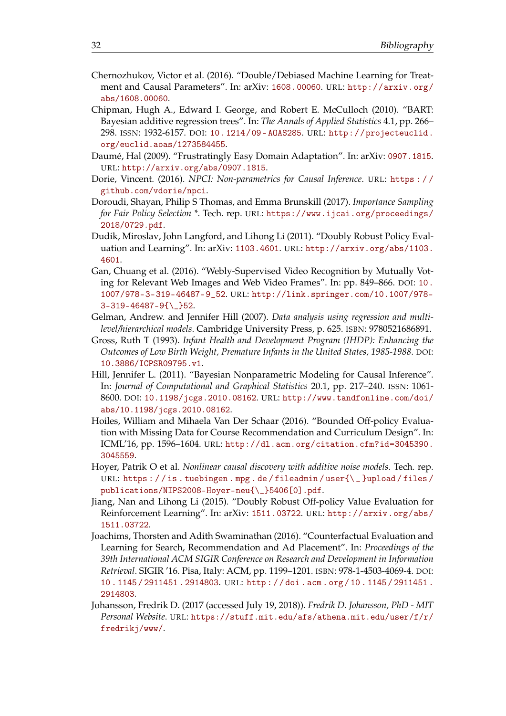- <span id="page-47-3"></span>Chernozhukov, Victor et al. (2016). "Double/Debiased Machine Learning for Treatment and Causal Parameters". In: arXiv: [1608.00060](https://arxiv.org/abs/1608.00060). URL: [http://arxiv.org/](http://arxiv.org/abs/1608.00060) [abs/1608.00060](http://arxiv.org/abs/1608.00060).
- <span id="page-47-6"></span>Chipman, Hugh A., Edward I. George, and Robert E. McCulloch (2010). "BART: Bayesian additive regression trees". In: *The Annals of Applied Statistics* 4.1, pp. 266– 298. ISSN: 1932-6157. DOI: [10.1214/09- AOAS285](https://doi.org/10.1214/09-AOAS285). URL: [http://projecteuclid.](http://projecteuclid.org/euclid.aoas/1273584455) [org/euclid.aoas/1273584455](http://projecteuclid.org/euclid.aoas/1273584455).
- <span id="page-47-11"></span>Daumé, Hal (2009). "Frustratingly Easy Domain Adaptation". In: arXiv: [0907.1815](https://arxiv.org/abs/0907.1815). URL: <http://arxiv.org/abs/0907.1815>.
- <span id="page-47-13"></span>Dorie, Vincent. (2016). *NPCI: Non-parametrics for Causal Inference*. URL: [https : / /](https://github.com/vdorie/npci) [github.com/vdorie/npci](https://github.com/vdorie/npci).
- <span id="page-47-12"></span>Doroudi, Shayan, Philip S Thomas, and Emma Brunskill (2017). *Importance Sampling for Fair Policy Selection \**. Tech. rep. URL: [https://www.ijcai.org/proceedings/](https://www.ijcai.org/proceedings/2018/0729.pdf) [2018/0729.pdf](https://www.ijcai.org/proceedings/2018/0729.pdf).
- <span id="page-47-8"></span>Dudik, Miroslav, John Langford, and Lihong Li (2011). "Doubly Robust Policy Evaluation and Learning". In: arXiv: [1103.4601](https://arxiv.org/abs/1103.4601). URL: [http://arxiv.org/abs/1103.](http://arxiv.org/abs/1103.4601) [4601](http://arxiv.org/abs/1103.4601).
- <span id="page-47-10"></span>Gan, Chuang et al. (2016). "Webly-Supervised Video Recognition by Mutually Voting for Relevant Web Images and Web Video Frames". In: pp. 849–866. DOI: [10.](https://doi.org/10.1007/978-3-319-46487-9_52) [1007/978-3-319-46487-9\\_52](https://doi.org/10.1007/978-3-319-46487-9_52). URL: [http://link.springer.com/10.1007/978-](http://link.springer.com/10.1007/978-3-319-46487-9{\_}52) [3-319-46487-9{\\\_}52](http://link.springer.com/10.1007/978-3-319-46487-9{\_}52).
- <span id="page-47-5"></span>Gelman, Andrew. and Jennifer Hill (2007). *Data analysis using regression and multilevel/hierarchical models*. Cambridge University Press, p. 625. ISBN: 9780521686891.
- <span id="page-47-1"></span>Gross, Ruth T (1993). *Infant Health and Development Program (IHDP): Enhancing the Outcomes of Low Birth Weight, Premature Infants in the United States, 1985-1988*. DOI: [10.3886/ICPSR09795.v1](https://doi.org/10.3886/ICPSR09795.v1).
- <span id="page-47-0"></span>Hill, Jennifer L. (2011). "Bayesian Nonparametric Modeling for Causal Inference". In: *Journal of Computational and Graphical Statistics* 20.1, pp. 217–240. ISSN: 1061- 8600. DOI: [10.1198/jcgs.2010.08162](https://doi.org/10.1198/jcgs.2010.08162). URL: [http://www.tandfonline.com/doi/](http://www.tandfonline.com/doi/abs/10.1198/jcgs.2010.08162) [abs/10.1198/jcgs.2010.08162](http://www.tandfonline.com/doi/abs/10.1198/jcgs.2010.08162).
- <span id="page-47-2"></span>Hoiles, William and Mihaela Van Der Schaar (2016). "Bounded Off-policy Evaluation with Missing Data for Course Recommendation and Curriculum Design". In: ICML'16, pp. 1596–1604. URL: [http://dl.acm.org/citation.cfm?id=3045390.](http://dl.acm.org/citation.cfm?id=3045390.3045559) [3045559](http://dl.acm.org/citation.cfm?id=3045390.3045559).
- <span id="page-47-4"></span>Hoyer, Patrik O et al. *Nonlinear causal discovery with additive noise models*. Tech. rep. URL: https://is.tuebingen.mpg.de/fileadmin/user{\\_}upload/files/ [publications/NIPS2008-Hoyer-neu{\\\_}5406\[0\].pdf](https://is.tuebingen.mpg.de/fileadmin/user{\_}upload/files/publications/NIPS2008-Hoyer-neu{\_}5406[0].pdf).
- <span id="page-47-9"></span>Jiang, Nan and Lihong Li (2015). "Doubly Robust Off-policy Value Evaluation for Reinforcement Learning". In: arXiv: [1511.03722](https://arxiv.org/abs/1511.03722). URL: [http://arxiv.org/abs/](http://arxiv.org/abs/1511.03722) [1511.03722](http://arxiv.org/abs/1511.03722).
- <span id="page-47-7"></span>Joachims, Thorsten and Adith Swaminathan (2016). "Counterfactual Evaluation and Learning for Search, Recommendation and Ad Placement". In: *Proceedings of the 39th International ACM SIGIR Conference on Research and Development in Information Retrieval*. SIGIR '16. Pisa, Italy: ACM, pp. 1199–1201. ISBN: 978-1-4503-4069-4. DOI: [10 . 1145 / 2911451 . 2914803](https://doi.org/10.1145/2911451.2914803). URL: [http : / / doi . acm . org / 10 . 1145 / 2911451 .](http://doi.acm.org/10.1145/2911451.2914803) [2914803](http://doi.acm.org/10.1145/2911451.2914803).
- <span id="page-47-14"></span>Johansson, Fredrik D. (2017 (accessed July 19, 2018)). *Fredrik D. Johansson, PhD - MIT Personal Website*. URL: [https://stuff.mit.edu/afs/athena.mit.edu/user/f/r/](https://stuff.mit.edu/afs/athena.mit.edu/user/f/r/fredrikj/www/) [fredrikj/www/](https://stuff.mit.edu/afs/athena.mit.edu/user/f/r/fredrikj/www/).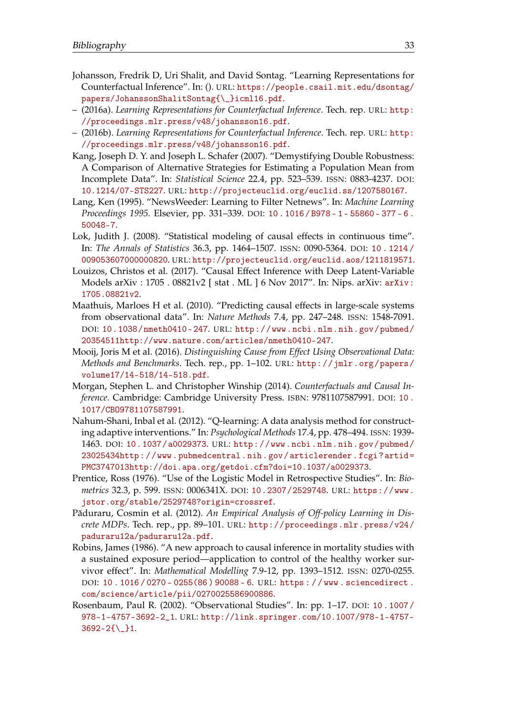- <span id="page-48-7"></span>Johansson, Fredrik D, Uri Shalit, and David Sontag. "Learning Representations for Counterfactual Inference". In: (). URL: [https://people.csail.mit.edu/dsontag/](https://people.csail.mit.edu/dsontag/papers/JohanssonShalitSontag{\_}icml16.pdf) [papers/JohanssonShalitSontag{\\\_}icml16.pdf](https://people.csail.mit.edu/dsontag/papers/JohanssonShalitSontag{\_}icml16.pdf).
- <span id="page-48-8"></span>– (2016a). *Learning Representations for Counterfactual Inference*. Tech. rep. URL: [http:](http://proceedings.mlr.press/v48/johansson16.pdf) [//proceedings.mlr.press/v48/johansson16.pdf](http://proceedings.mlr.press/v48/johansson16.pdf).
- <span id="page-48-14"></span>– (2016b). *Learning Representations for Counterfactual Inference*. Tech. rep. URL: [http:](http://proceedings.mlr.press/v48/johansson16.pdf) [//proceedings.mlr.press/v48/johansson16.pdf](http://proceedings.mlr.press/v48/johansson16.pdf).
- <span id="page-48-6"></span>Kang, Joseph D. Y. and Joseph L. Schafer (2007). "Demystifying Double Robustness: A Comparison of Alternative Strategies for Estimating a Population Mean from Incomplete Data". In: *Statistical Science* 22.4, pp. 523–539. ISSN: 0883-4237. DOI: [10.1214/07-STS227](https://doi.org/10.1214/07-STS227). URL: <http://projecteuclid.org/euclid.ss/1207580167>.
- <span id="page-48-1"></span>Lang, Ken (1995). "NewsWeeder: Learning to Filter Netnews". In: *Machine Learning Proceedings 1995*. Elsevier, pp. 331–339. DOI: [10 . 1016 / B978 - 1 - 55860 - 377 - 6 .](https://doi.org/10.1016/B978-1-55860-377-6.50048-7) [50048-7](https://doi.org/10.1016/B978-1-55860-377-6.50048-7).
- <span id="page-48-11"></span>Lok, Judith J. (2008). "Statistical modeling of causal effects in continuous time". In: *The Annals of Statistics* 36.3, pp. 1464–1507. ISSN: 0090-5364. DOI: [10 . 1214 /](https://doi.org/10.1214/009053607000000820) [009053607000000820](https://doi.org/10.1214/009053607000000820). URL: <http://projecteuclid.org/euclid.aos/1211819571>.
- <span id="page-48-13"></span>Louizos, Christos et al. (2017). "Causal Effect Inference with Deep Latent-Variable Models arXiv : 1705 . 08821v2 [ stat . ML ] 6 Nov 2017". In: Nips. arXiv: [arXiv:](https://arxiv.org/abs/arXiv:1705.08821v2) [1705.08821v2](https://arxiv.org/abs/arXiv:1705.08821v2).
- <span id="page-48-2"></span>Maathuis, Marloes H et al. (2010). "Predicting causal effects in large-scale systems from observational data". In: *Nature Methods* 7.4, pp. 247–248. ISSN: 1548-7091. DOI: [10.1038/nmeth0410- 247](https://doi.org/10.1038/nmeth0410-247). URL: [http://www.ncbi.nlm.nih.gov/pubmed/](http://www.ncbi.nlm.nih.gov/pubmed/20354511 http://www.nature.com/articles/nmeth0410-247) [20354511http://www.nature.com/articles/nmeth0410-247](http://www.ncbi.nlm.nih.gov/pubmed/20354511 http://www.nature.com/articles/nmeth0410-247).
- <span id="page-48-3"></span>Mooij, Joris M et al. (2016). *Distinguishing Cause from Effect Using Observational Data: Methods and Benchmarks*. Tech. rep., pp. 1–102. URL: [http://jmlr.org/papers/](http://jmlr.org/papers/volume17/14-518/14-518.pdf) [volume17/14-518/14-518.pdf](http://jmlr.org/papers/volume17/14-518/14-518.pdf).
- <span id="page-48-0"></span>Morgan, Stephen L. and Christopher Winship (2014). *Counterfactuals and Causal Inference*. Cambridge: Cambridge University Press. ISBN: 9781107587991. DOI: [10 .](https://doi.org/10.1017/CBO9781107587991) [1017/CBO9781107587991](https://doi.org/10.1017/CBO9781107587991).
- <span id="page-48-10"></span>Nahum-Shani, Inbal et al. (2012). "Q-learning: A data analysis method for constructing adaptive interventions." In: *Psychological Methods* 17.4, pp. 478–494. ISSN: 1939- 1463. DOI: [10.1037/a0029373](https://doi.org/10.1037/a0029373). URL: [http://www.ncbi.nlm.nih.gov/pubmed/](http://www.ncbi.nlm.nih.gov/pubmed/23025434 http://www.pubmedcentral.nih.gov/articlerender.fcgi?artid=PMC3747013 http://doi.apa.org/getdoi.cfm?doi=10.1037/a0029373) [23025434http : / / www . pubmedcentral . nih . gov / articlerender . fcgi ? artid =](http://www.ncbi.nlm.nih.gov/pubmed/23025434 http://www.pubmedcentral.nih.gov/articlerender.fcgi?artid=PMC3747013 http://doi.apa.org/getdoi.cfm?doi=10.1037/a0029373) [PMC3747013http://doi.apa.org/getdoi.cfm?doi=10.1037/a0029373](http://www.ncbi.nlm.nih.gov/pubmed/23025434 http://www.pubmedcentral.nih.gov/articlerender.fcgi?artid=PMC3747013 http://doi.apa.org/getdoi.cfm?doi=10.1037/a0029373).
- <span id="page-48-4"></span>Prentice, Ross (1976). "Use of the Logistic Model in Retrospective Studies". In: *Biometrics* 32.3, p. 599. ISSN: 0006341X. DOI: [10.2307/2529748](https://doi.org/10.2307/2529748). URL: [https://www.](https://www.jstor.org/stable/2529748?origin=crossref) [jstor.org/stable/2529748?origin=crossref](https://www.jstor.org/stable/2529748?origin=crossref).
- <span id="page-48-12"></span>Păduraru, Cosmin et al. (2012). An Empirical Analysis of Off-policy Learning in Dis*crete MDPs*. Tech. rep., pp. 89–101. URL: [http://proceedings.mlr.press/v24/](http://proceedings.mlr.press/v24/paduraru12a/paduraru12a.pdf) [paduraru12a/paduraru12a.pdf](http://proceedings.mlr.press/v24/paduraru12a/paduraru12a.pdf).
- <span id="page-48-9"></span>Robins, James (1986). "A new approach to causal inference in mortality studies with a sustained exposure period—application to control of the healthy worker survivor effect". In: *Mathematical Modelling* 7.9-12, pp. 1393–1512. ISSN: 0270-0255. DOI: [10 . 1016 / 0270 - 0255\(86 \) 90088 - 6](https://doi.org/10.1016/0270-0255(86)90088-6). URL: [https : / / www . sciencedirect .](https://www.sciencedirect.com/science/article/pii/0270025586900886) [com/science/article/pii/0270025586900886](https://www.sciencedirect.com/science/article/pii/0270025586900886).
- <span id="page-48-5"></span>Rosenbaum, Paul R. (2002). "Observational Studies". In: pp. 1–17. DOI: [10 . 1007 /](https://doi.org/10.1007/978-1-4757-3692-2_1) [978-1-4757-3692-2\\_1](https://doi.org/10.1007/978-1-4757-3692-2_1). URL: [http://link.springer.com/10.1007/978-1-4757-](http://link.springer.com/10.1007/978-1-4757-3692-2{\_}1) [3692-2{\\\_}1](http://link.springer.com/10.1007/978-1-4757-3692-2{\_}1).